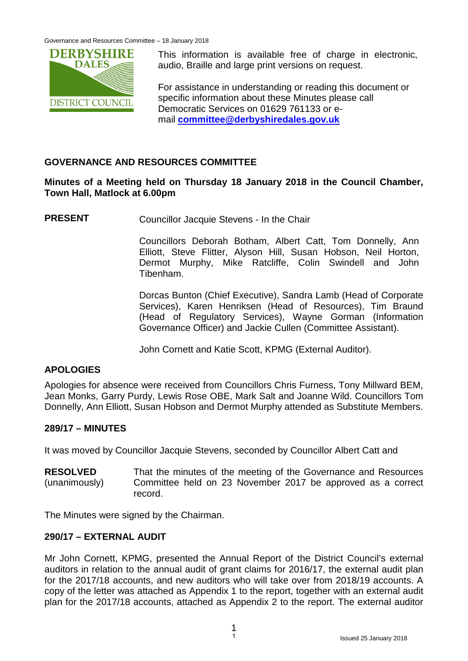

This information is available free of charge in electronic, audio, Braille and large print versions on request.

For assistance in understanding or reading this document or specific information about these Minutes please call Democratic Services on 01629 761133 or email **[committee@derbyshiredales.gov.uk](mailto:committee@derbyshiredales.gov.uk)**

### **GOVERNANCE AND RESOURCES COMMITTEE**

#### **Minutes of a Meeting held on Thursday 18 January 2018 in the Council Chamber, Town Hall, Matlock at 6.00pm**

**PRESENT** Councillor Jacquie Stevens - In the Chair

Councillors Deborah Botham, Albert Catt, Tom Donnelly, Ann Elliott, Steve Flitter, Alyson Hill, Susan Hobson, Neil Horton, Dermot Murphy, Mike Ratcliffe, Colin Swindell and John Tibenham.

Dorcas Bunton (Chief Executive), Sandra Lamb (Head of Corporate Services), Karen Henriksen (Head of Resources), Tim Braund (Head of Regulatory Services), Wayne Gorman (Information Governance Officer) and Jackie Cullen (Committee Assistant).

John Cornett and Katie Scott, KPMG (External Auditor).

### **APOLOGIES**

Apologies for absence were received from Councillors Chris Furness, Tony Millward BEM, Jean Monks, Garry Purdy, Lewis Rose OBE, Mark Salt and Joanne Wild. Councillors Tom Donnelly, Ann Elliott, Susan Hobson and Dermot Murphy attended as Substitute Members.

#### **289/17 – MINUTES**

It was moved by Councillor Jacquie Stevens, seconded by Councillor Albert Catt and

**RESOLVED** (unanimously) That the minutes of the meeting of the Governance and Resources Committee held on 23 November 2017 be approved as a correct record.

The Minutes were signed by the Chairman.

#### **290/17 – EXTERNAL AUDIT**

Mr John Cornett, KPMG, presented the Annual Report of the District Council's external auditors in relation to the annual audit of grant claims for 2016/17, the external audit plan for the 2017/18 accounts, and new auditors who will take over from 2018/19 accounts. A copy of the letter was attached as Appendix 1 to the report, together with an external audit plan for the 2017/18 accounts, attached as Appendix 2 to the report. The external auditor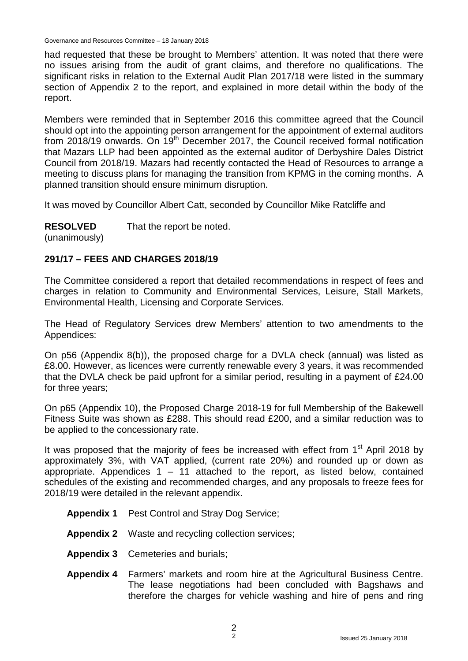had requested that these be brought to Members' attention. It was noted that there were no issues arising from the audit of grant claims, and therefore no qualifications. The significant risks in relation to the External Audit Plan 2017/18 were listed in the summary section of Appendix 2 to the report, and explained in more detail within the body of the report.

Members were reminded that in September 2016 this committee agreed that the Council should opt into the appointing person arrangement for the appointment of external auditors from 2018/19 onwards. On 19<sup>th</sup> December 2017, the Council received formal notification that Mazars LLP had been appointed as the external auditor of Derbyshire Dales District Council from 2018/19. Mazars had recently contacted the Head of Resources to arrange a meeting to discuss plans for managing the transition from KPMG in the coming months. A planned transition should ensure minimum disruption.

It was moved by Councillor Albert Catt, seconded by Councillor Mike Ratcliffe and

**RESOLVED** That the report be noted.

(unanimously)

### **291/17 – FEES AND CHARGES 2018/19**

The Committee considered a report that detailed recommendations in respect of fees and charges in relation to Community and Environmental Services, Leisure, Stall Markets, Environmental Health, Licensing and Corporate Services.

The Head of Regulatory Services drew Members' attention to two amendments to the Appendices:

On p56 (Appendix 8(b)), the proposed charge for a DVLA check (annual) was listed as £8.00. However, as licences were currently renewable every 3 years, it was recommended that the DVLA check be paid upfront for a similar period, resulting in a payment of £24.00 for three years;

On p65 (Appendix 10), the Proposed Charge 2018-19 for full Membership of the Bakewell Fitness Suite was shown as £288. This should read £200, and a similar reduction was to be applied to the concessionary rate.

It was proposed that the majority of fees be increased with effect from  $1<sup>st</sup>$  April 2018 by approximately 3%, with VAT applied, (current rate 20%) and rounded up or down as appropriate. Appendices  $1 - 11$  attached to the report, as listed below, contained schedules of the existing and recommended charges, and any proposals to freeze fees for 2018/19 were detailed in the relevant appendix.

- **Appendix 1** Pest Control and Stray Dog Service;
- **Appendix 2** Waste and recycling collection services;
- **Appendix 3** Cemeteries and burials;
- **Appendix 4** Farmers' markets and room hire at the Agricultural Business Centre. The lease negotiations had been concluded with Bagshaws and therefore the charges for vehicle washing and hire of pens and ring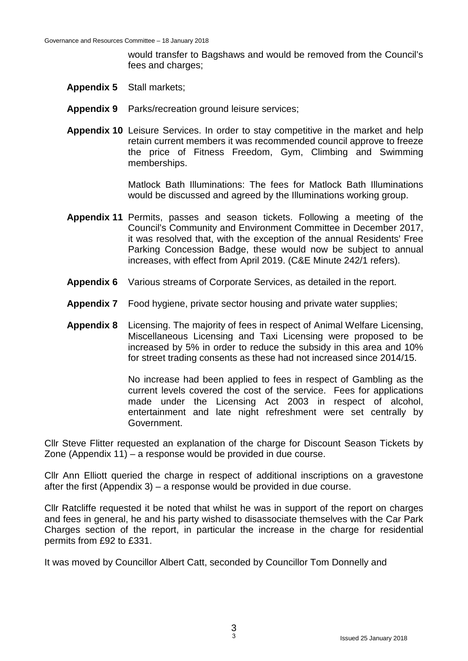would transfer to Bagshaws and would be removed from the Council's fees and charges;

- **Appendix 5** Stall markets;
- **Appendix 9** Parks/recreation ground leisure services;
- **Appendix 10** Leisure Services. In order to stay competitive in the market and help retain current members it was recommended council approve to freeze the price of Fitness Freedom, Gym, Climbing and Swimming memberships.

Matlock Bath Illuminations: The fees for Matlock Bath Illuminations would be discussed and agreed by the Illuminations working group.

- **Appendix 11** Permits, passes and season tickets. Following a meeting of the Council's Community and Environment Committee in December 2017, it was resolved that, with the exception of the annual Residents' Free Parking Concession Badge, these would now be subject to annual increases, with effect from April 2019. (C&E Minute 242/1 refers).
- **Appendix 6** Various streams of Corporate Services, as detailed in the report.
- **Appendix 7** Food hygiene, private sector housing and private water supplies;
- **Appendix 8** Licensing. The majority of fees in respect of Animal Welfare Licensing, Miscellaneous Licensing and Taxi Licensing were proposed to be increased by 5% in order to reduce the subsidy in this area and 10% for street trading consents as these had not increased since 2014/15.

No increase had been applied to fees in respect of Gambling as the current levels covered the cost of the service. Fees for applications made under the Licensing Act 2003 in respect of alcohol, entertainment and late night refreshment were set centrally by Government.

Cllr Steve Flitter requested an explanation of the charge for Discount Season Tickets by Zone (Appendix 11) – a response would be provided in due course.

Cllr Ann Elliott queried the charge in respect of additional inscriptions on a gravestone after the first (Appendix 3) – a response would be provided in due course.

Cllr Ratcliffe requested it be noted that whilst he was in support of the report on charges and fees in general, he and his party wished to disassociate themselves with the Car Park Charges section of the report, in particular the increase in the charge for residential permits from £92 to £331.

It was moved by Councillor Albert Catt, seconded by Councillor Tom Donnelly and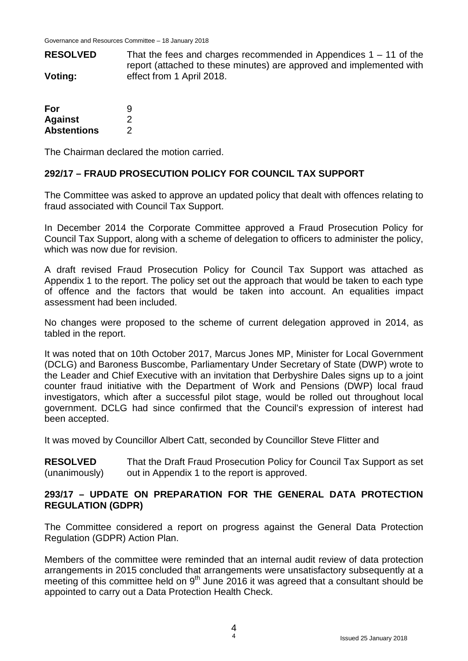**RESOLVED Voting:** That the fees and charges recommended in Appendices  $1 - 11$  of the report (attached to these minutes) are approved and implemented with effect from 1 April 2018.

| For                | 9 |
|--------------------|---|
| <b>Against</b>     | 2 |
| <b>Abstentions</b> | 2 |

The Chairman declared the motion carried.

#### **292/17 – FRAUD PROSECUTION POLICY FOR COUNCIL TAX SUPPORT**

The Committee was asked to approve an updated policy that dealt with offences relating to fraud associated with Council Tax Support.

In December 2014 the Corporate Committee approved a Fraud Prosecution Policy for Council Tax Support, along with a scheme of delegation to officers to administer the policy, which was now due for revision.

A draft revised Fraud Prosecution Policy for Council Tax Support was attached as Appendix 1 to the report. The policy set out the approach that would be taken to each type of offence and the factors that would be taken into account. An equalities impact assessment had been included.

No changes were proposed to the scheme of current delegation approved in 2014, as tabled in the report.

It was noted that on 10th October 2017, Marcus Jones MP, Minister for Local Government (DCLG) and Baroness Buscombe, Parliamentary Under Secretary of State (DWP) wrote to the Leader and Chief Executive with an invitation that Derbyshire Dales signs up to a joint counter fraud initiative with the Department of Work and Pensions (DWP) local fraud investigators, which after a successful pilot stage, would be rolled out throughout local government. DCLG had since confirmed that the Council's expression of interest had been accepted.

It was moved by Councillor Albert Catt, seconded by Councillor Steve Flitter and

**RESOLVED** (unanimously) That the Draft Fraud Prosecution Policy for Council Tax Support as set out in Appendix 1 to the report is approved.

#### **293/17 – UPDATE ON PREPARATION FOR THE GENERAL DATA PROTECTION REGULATION (GDPR)**

The Committee considered a report on progress against the General Data Protection Regulation (GDPR) Action Plan.

Members of the committee were reminded that an internal audit review of data protection arrangements in 2015 concluded that arrangements were unsatisfactory subsequently at a meeting of this committee held on  $9<sup>th</sup>$  June 2016 it was agreed that a consultant should be appointed to carry out a Data Protection Health Check.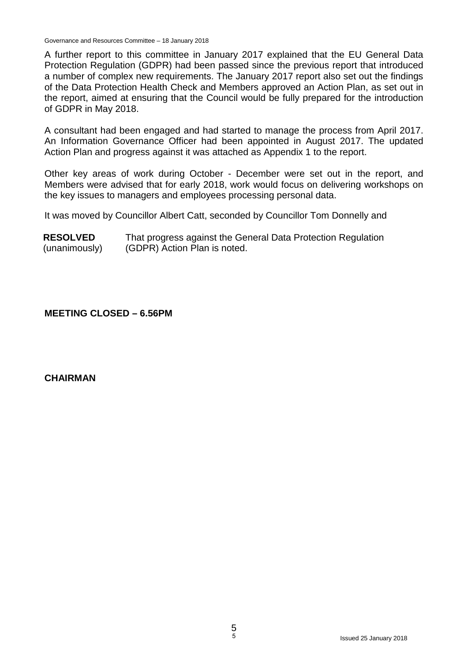A further report to this committee in January 2017 explained that the EU General Data Protection Regulation (GDPR) had been passed since the previous report that introduced a number of complex new requirements. The January 2017 report also set out the findings of the Data Protection Health Check and Members approved an Action Plan, as set out in the report, aimed at ensuring that the Council would be fully prepared for the introduction of GDPR in May 2018.

A consultant had been engaged and had started to manage the process from April 2017. An Information Governance Officer had been appointed in August 2017. The updated Action Plan and progress against it was attached as Appendix 1 to the report.

Other key areas of work during October - December were set out in the report, and Members were advised that for early 2018, work would focus on delivering workshops on the key issues to managers and employees processing personal data.

It was moved by Councillor Albert Catt, seconded by Councillor Tom Donnelly and

| <b>RESOLVED</b> | That progress against the General Data Protection Regulation |
|-----------------|--------------------------------------------------------------|
| (unanimously)   | (GDPR) Action Plan is noted.                                 |

### **MEETING CLOSED – 6.56PM**

#### **CHAIRMAN**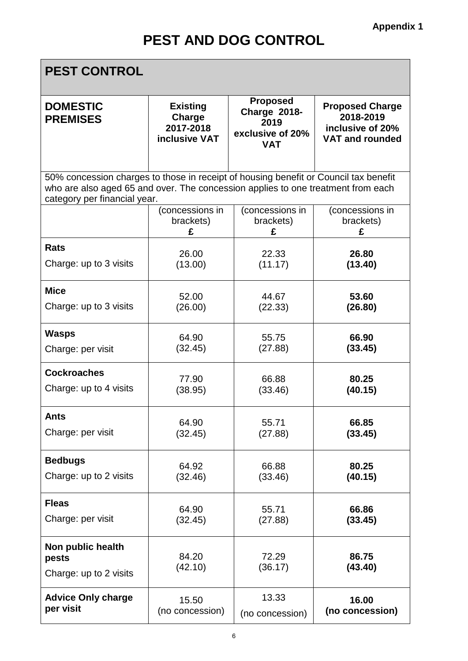ī

×

| <b>PEST CONTROL</b>                                                                                                                                                                                      |                                                         |                                                                                  |                                                                                   |  |
|----------------------------------------------------------------------------------------------------------------------------------------------------------------------------------------------------------|---------------------------------------------------------|----------------------------------------------------------------------------------|-----------------------------------------------------------------------------------|--|
| <b>DOMESTIC</b><br><b>PREMISES</b>                                                                                                                                                                       | <b>Existing</b><br>Charge<br>2017-2018<br>inclusive VAT | <b>Proposed</b><br><b>Charge 2018-</b><br>2019<br>exclusive of 20%<br><b>VAT</b> | <b>Proposed Charge</b><br>2018-2019<br>inclusive of 20%<br><b>VAT and rounded</b> |  |
| 50% concession charges to those in receipt of housing benefit or Council tax benefit<br>who are also aged 65 and over. The concession applies to one treatment from each<br>category per financial year. |                                                         |                                                                                  |                                                                                   |  |
|                                                                                                                                                                                                          | (concessions in                                         | (concessions in                                                                  | (concessions in                                                                   |  |
|                                                                                                                                                                                                          | brackets)                                               | brackets)                                                                        | brackets)                                                                         |  |
|                                                                                                                                                                                                          | £                                                       | £                                                                                | £                                                                                 |  |
| <b>Rats</b>                                                                                                                                                                                              | 26.00                                                   | 22.33                                                                            | 26.80                                                                             |  |
| Charge: up to 3 visits                                                                                                                                                                                   | (13.00)                                                 | (11.17)                                                                          | (13.40)                                                                           |  |
| <b>Mice</b>                                                                                                                                                                                              | 52.00                                                   | 44.67                                                                            | 53.60                                                                             |  |
| Charge: up to 3 visits                                                                                                                                                                                   | (26.00)                                                 | (22.33)                                                                          | (26.80)                                                                           |  |
| <b>Wasps</b>                                                                                                                                                                                             | 64.90                                                   | 55.75                                                                            | 66.90                                                                             |  |
| Charge: per visit                                                                                                                                                                                        | (32.45)                                                 | (27.88)                                                                          | (33.45)                                                                           |  |
| <b>Cockroaches</b>                                                                                                                                                                                       | 77.90                                                   | 66.88                                                                            | 80.25                                                                             |  |
| Charge: up to 4 visits                                                                                                                                                                                   | (38.95)                                                 | (33.46)                                                                          | (40.15)                                                                           |  |
| Ants                                                                                                                                                                                                     | 64.90                                                   | 55.71                                                                            | 66.85                                                                             |  |
| Charge: per visit                                                                                                                                                                                        | (32.45)                                                 | (27.88)                                                                          | (33.45)                                                                           |  |
| <b>Bedbugs</b>                                                                                                                                                                                           | 64.92                                                   | 66.88                                                                            | 80.25                                                                             |  |
| Charge: up to 2 visits                                                                                                                                                                                   | (32.46)                                                 | (33.46)                                                                          | (40.15)                                                                           |  |
| <b>Fleas</b>                                                                                                                                                                                             | 64.90                                                   | 55.71                                                                            | 66.86                                                                             |  |
| Charge: per visit                                                                                                                                                                                        | (32.45)                                                 | (27.88)                                                                          | (33.45)                                                                           |  |
| Non public health<br>pests<br>Charge: up to 2 visits                                                                                                                                                     | 84.20<br>(42.10)                                        | 72.29<br>(36.17)                                                                 | 86.75<br>(43.40)                                                                  |  |
| <b>Advice Only charge</b>                                                                                                                                                                                | 15.50                                                   | 13.33                                                                            | 16.00                                                                             |  |
| per visit                                                                                                                                                                                                | (no concession)                                         | (no concession)                                                                  | (no concession)                                                                   |  |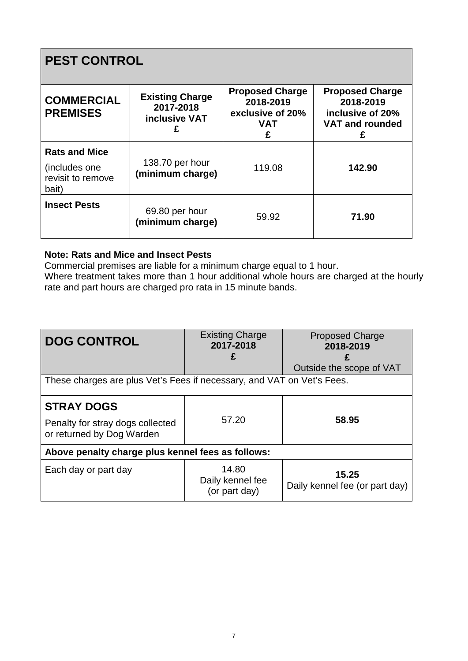## **PEST CONTROL**

| <b>COMMERCIAL</b><br><b>PREMISES</b>                                 | <b>Existing Charge</b><br>2017-2018<br><b>inclusive VAT</b> | <b>Proposed Charge</b><br>2018-2019<br>exclusive of 20%<br><b>VAT</b><br>£ | <b>Proposed Charge</b><br>2018-2019<br>inclusive of 20%<br><b>VAT and rounded</b><br>£ |
|----------------------------------------------------------------------|-------------------------------------------------------------|----------------------------------------------------------------------------|----------------------------------------------------------------------------------------|
| <b>Rats and Mice</b><br>(includes one)<br>revisit to remove<br>bait) | 138.70 per hour<br>(minimum charge)                         | 119.08                                                                     | 142.90                                                                                 |
| <b>Insect Pests</b>                                                  | 69.80 per hour<br>(minimum charge)                          | 59.92                                                                      | 71.90                                                                                  |

### **Note: Rats and Mice and Insect Pests**

Commercial premises are liable for a minimum charge equal to 1 hour.

Where treatment takes more than 1 hour additional whole hours are charged at the hourly rate and part hours are charged pro rata in 15 minute bands.

| <b>DOG CONTROL</b>                                                     | <b>Existing Charge</b><br>2017-2018        | <b>Proposed Charge</b><br>2018-2019     |  |  |
|------------------------------------------------------------------------|--------------------------------------------|-----------------------------------------|--|--|
|                                                                        | £                                          |                                         |  |  |
|                                                                        |                                            | Outside the scope of VAT                |  |  |
| These charges are plus Vet's Fees if necessary, and VAT on Vet's Fees. |                                            |                                         |  |  |
| <b>STRAY DOGS</b>                                                      |                                            |                                         |  |  |
| Penalty for stray dogs collected<br>or returned by Dog Warden          | 57.20                                      | 58.95                                   |  |  |
| Above penalty charge plus kennel fees as follows:                      |                                            |                                         |  |  |
| Each day or part day                                                   | 14.80<br>Daily kennel fee<br>(or part day) | 15.25<br>Daily kennel fee (or part day) |  |  |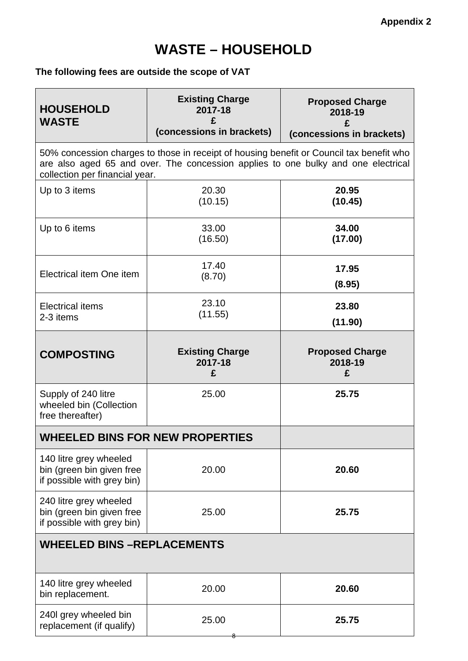### **The following fees are outside the scope of VAT**

| <b>HOUSEHOLD</b><br><b>WASTE</b>                                                  | <b>Existing Charge</b><br>2017-18<br>(concessions in brackets)                                                                                                                | <b>Proposed Charge</b><br>2018-19<br>£<br>(concessions in brackets) |  |
|-----------------------------------------------------------------------------------|-------------------------------------------------------------------------------------------------------------------------------------------------------------------------------|---------------------------------------------------------------------|--|
| collection per financial year.                                                    | 50% concession charges to those in receipt of housing benefit or Council tax benefit who<br>are also aged 65 and over. The concession applies to one bulky and one electrical |                                                                     |  |
| Up to 3 items                                                                     | 20.30<br>(10.15)                                                                                                                                                              | 20.95<br>(10.45)                                                    |  |
| Up to 6 items                                                                     | 33.00<br>(16.50)                                                                                                                                                              | 34.00<br>(17.00)                                                    |  |
| Electrical item One item                                                          | 17.40<br>(8.70)                                                                                                                                                               | 17.95<br>(8.95)                                                     |  |
| <b>Electrical items</b><br>2-3 items                                              | 23.10<br>(11.55)                                                                                                                                                              | 23.80<br>(11.90)                                                    |  |
| <b>COMPOSTING</b>                                                                 | <b>Existing Charge</b><br>2017-18<br>£                                                                                                                                        | <b>Proposed Charge</b><br>2018-19<br>£                              |  |
| Supply of 240 litre<br>wheeled bin (Collection<br>free thereafter)                | 25.00                                                                                                                                                                         | 25.75                                                               |  |
| <b>WHEELED BINS FOR NEW PROPERTIES</b>                                            |                                                                                                                                                                               |                                                                     |  |
| 140 litre grey wheeled<br>bin (green bin given free<br>if possible with grey bin) | 20.00                                                                                                                                                                         | 20.60                                                               |  |
| 240 litre grey wheeled<br>bin (green bin given free<br>if possible with grey bin) | 25.00                                                                                                                                                                         | 25.75                                                               |  |
| <b>WHEELED BINS -REPLACEMENTS</b>                                                 |                                                                                                                                                                               |                                                                     |  |
| 140 litre grey wheeled<br>bin replacement.                                        | 20.00                                                                                                                                                                         | 20.60                                                               |  |
| 240I grey wheeled bin<br>replacement (if qualify)                                 | 25.00                                                                                                                                                                         | 25.75                                                               |  |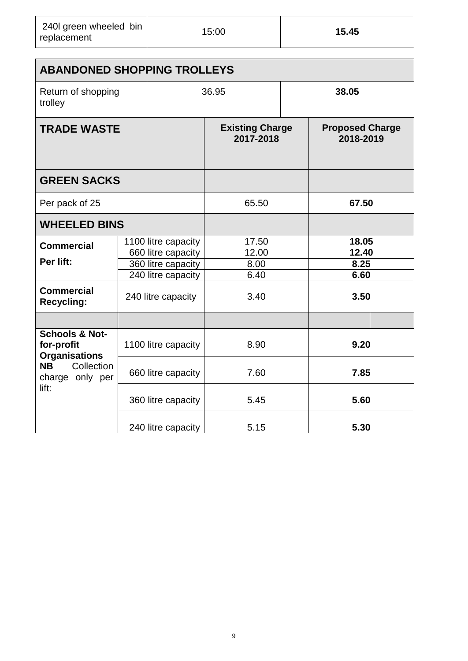| 240 green wheeled bin<br>replacement | 15:00 | 15.45 |
|--------------------------------------|-------|-------|
|--------------------------------------|-------|-------|

| <b>ABANDONED SHOPPING TROLLEYS</b>                              |                     |                                     |  |                                     |  |
|-----------------------------------------------------------------|---------------------|-------------------------------------|--|-------------------------------------|--|
| Return of shopping<br>trolley                                   |                     | 36.95                               |  | 38.05                               |  |
| <b>TRADE WASTE</b>                                              |                     | <b>Existing Charge</b><br>2017-2018 |  | <b>Proposed Charge</b><br>2018-2019 |  |
| <b>GREEN SACKS</b>                                              |                     |                                     |  |                                     |  |
| Per pack of 25                                                  |                     | 65.50                               |  | 67.50                               |  |
| <b>WHEELED BINS</b>                                             |                     |                                     |  |                                     |  |
| <b>Commercial</b>                                               | 1100 litre capacity | 17.50                               |  | 18.05                               |  |
| Per lift:                                                       | 660 litre capacity  | 12.00                               |  | 12.40                               |  |
|                                                                 | 360 litre capacity  | 8.00                                |  | 8.25                                |  |
|                                                                 | 240 litre capacity  | 6.40                                |  | 6.60                                |  |
| <b>Commercial</b><br><b>Recycling:</b>                          | 240 litre capacity  | 3.40                                |  | 3.50                                |  |
|                                                                 |                     |                                     |  |                                     |  |
| <b>Schools &amp; Not-</b><br>for-profit<br><b>Organisations</b> | 1100 litre capacity | 8.90                                |  | 9.20                                |  |
| <b>NB</b><br>Collection<br>charge only per                      | 660 litre capacity  | 7.60                                |  | 7.85                                |  |
| lift:                                                           | 360 litre capacity  | 5.45                                |  | 5.60                                |  |
|                                                                 | 240 litre capacity  | 5.15                                |  | 5.30                                |  |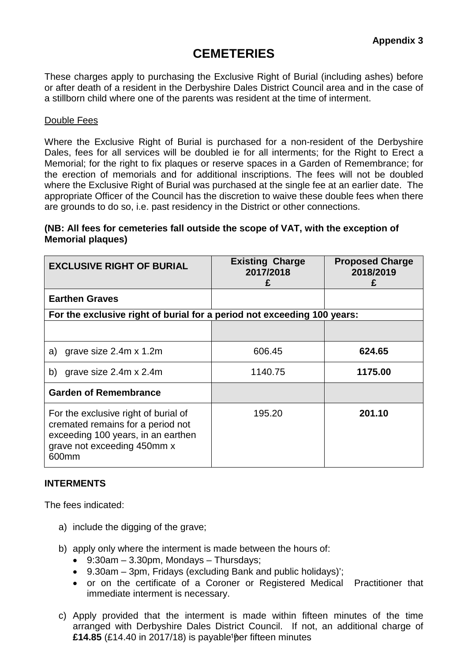### **CEMETERIES**

These charges apply to purchasing the Exclusive Right of Burial (including ashes) before or after death of a resident in the Derbyshire Dales District Council area and in the case of a stillborn child where one of the parents was resident at the time of interment.

#### Double Fees

Where the Exclusive Right of Burial is purchased for a non-resident of the Derbyshire Dales, fees for all services will be doubled ie for all interments; for the Right to Erect a Memorial; for the right to fix plaques or reserve spaces in a Garden of Remembrance; for the erection of memorials and for additional inscriptions. The fees will not be doubled where the Exclusive Right of Burial was purchased at the single fee at an earlier date. The appropriate Officer of the Council has the discretion to waive these double fees when there are grounds to do so, i.e. past residency in the District or other connections.

#### **(NB: All fees for cemeteries fall outside the scope of VAT, with the exception of Memorial plaques)**

| <b>EXCLUSIVE RIGHT OF BURIAL</b>                                                                                                                        | <b>Existing Charge</b><br>2017/2018 | <b>Proposed Charge</b><br>2018/2019 |
|---------------------------------------------------------------------------------------------------------------------------------------------------------|-------------------------------------|-------------------------------------|
| <b>Earthen Graves</b>                                                                                                                                   |                                     |                                     |
| For the exclusive right of burial for a period not exceeding 100 years:                                                                                 |                                     |                                     |
|                                                                                                                                                         |                                     |                                     |
| grave size 2.4m x 1.2m<br>a)                                                                                                                            | 606.45                              | 624.65                              |
| grave size 2.4m x 2.4m<br>b)                                                                                                                            | 1140.75                             | 1175.00                             |
| <b>Garden of Remembrance</b>                                                                                                                            |                                     |                                     |
| For the exclusive right of burial of<br>cremated remains for a period not<br>exceeding 100 years, in an earthen<br>grave not exceeding 450mm x<br>600mm | 195.20                              | 201.10                              |

#### **INTERMENTS**

The fees indicated:

- a) include the digging of the grave;
- b) apply only where the interment is made between the hours of:
	- $\bullet$  9:30am 3.30pm, Mondays Thursdays;
	- 9.30am 3pm, Fridays (excluding Bank and public holidays)';
	- or on the certificate of a Coroner or Registered Medical Practitioner that immediate interment is necessary.
- c) Apply provided that the interment is made within fifteen minutes of the time arranged with Derbyshire Dales District Council. If not, an additional charge of £**14.85** (£14.40 in 2017/18) is payable<sup>1</sup>per fifteen minutes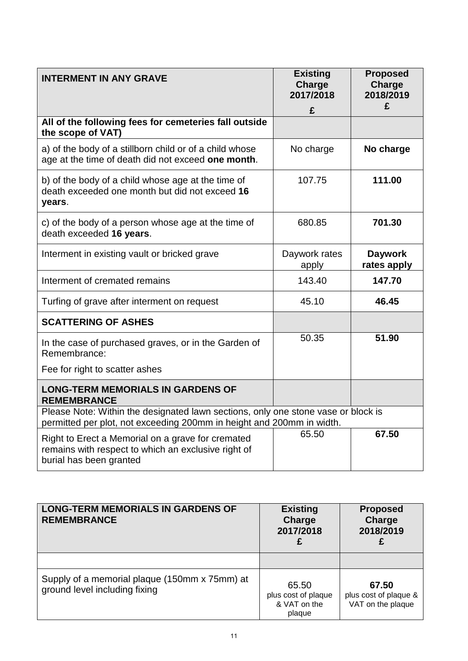| <b>INTERMENT IN ANY GRAVE</b>                                                                                                                              | <b>Existing</b><br>Charge<br>2017/2018 | <b>Proposed</b><br>Charge<br>2018/2019<br>£ |
|------------------------------------------------------------------------------------------------------------------------------------------------------------|----------------------------------------|---------------------------------------------|
|                                                                                                                                                            | £                                      |                                             |
| All of the following fees for cemeteries fall outside<br>the scope of VAT)                                                                                 |                                        |                                             |
| a) of the body of a stillborn child or of a child whose<br>age at the time of death did not exceed one month.                                              | No charge                              | No charge                                   |
| b) of the body of a child whose age at the time of<br>death exceeded one month but did not exceed 16<br>years.                                             | 107.75                                 | 111.00                                      |
| c) of the body of a person whose age at the time of<br>death exceeded 16 years.                                                                            | 680.85                                 | 701.30                                      |
| Interment in existing vault or bricked grave                                                                                                               | Daywork rates<br>apply                 | <b>Daywork</b><br>rates apply               |
| Interment of cremated remains                                                                                                                              | 143.40                                 | 147.70                                      |
| Turfing of grave after interment on request                                                                                                                | 45.10                                  | 46.45                                       |
| <b>SCATTERING OF ASHES</b>                                                                                                                                 |                                        |                                             |
| In the case of purchased graves, or in the Garden of<br>Remembrance:                                                                                       | 50.35                                  | 51.90                                       |
| Fee for right to scatter ashes                                                                                                                             |                                        |                                             |
| <b>LONG-TERM MEMORIALS IN GARDENS OF</b><br><b>REMEMBRANCE</b>                                                                                             |                                        |                                             |
| Please Note: Within the designated lawn sections, only one stone vase or block is<br>permitted per plot, not exceeding 200mm in height and 200mm in width. |                                        |                                             |
| Right to Erect a Memorial on a grave for cremated<br>remains with respect to which an exclusive right of<br>burial has been granted                        | 65.50                                  | 67.50                                       |

| <b>LONG-TERM MEMORIALS IN GARDENS OF</b><br><b>REMEMBRANCE</b>                 | <b>Existing</b><br>Charge<br>2017/2018<br>£            | <b>Proposed</b><br>Charge<br>2018/2019<br>£         |
|--------------------------------------------------------------------------------|--------------------------------------------------------|-----------------------------------------------------|
|                                                                                |                                                        |                                                     |
| Supply of a memorial plaque (150mm x 75mm) at<br>ground level including fixing | 65.50<br>plus cost of plaque<br>& VAT on the<br>plaque | 67.50<br>plus cost of plaque &<br>VAT on the plaque |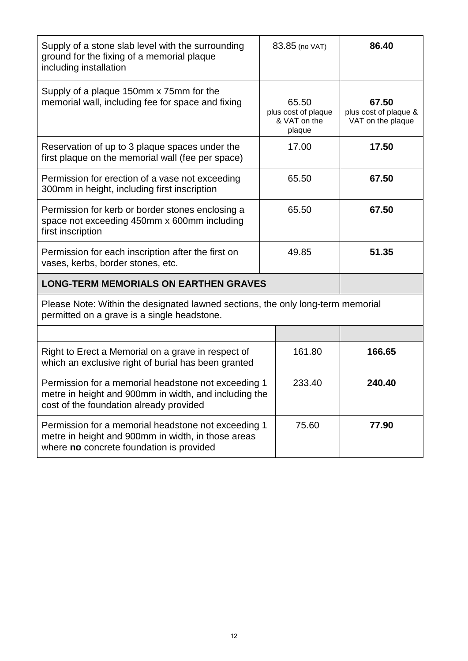| Supply of a stone slab level with the surrounding<br>ground for the fixing of a memorial plaque<br>including installation                               | 83.85 (no VAT)                                         | 86.40                                               |
|---------------------------------------------------------------------------------------------------------------------------------------------------------|--------------------------------------------------------|-----------------------------------------------------|
| Supply of a plaque 150mm x 75mm for the<br>memorial wall, including fee for space and fixing                                                            | 65.50<br>plus cost of plaque<br>& VAT on the<br>plaque | 67.50<br>plus cost of plaque &<br>VAT on the plaque |
| Reservation of up to 3 plaque spaces under the<br>first plaque on the memorial wall (fee per space)                                                     | 17.00                                                  | 17.50                                               |
| Permission for erection of a vase not exceeding<br>300mm in height, including first inscription                                                         | 65.50                                                  | 67.50                                               |
| Permission for kerb or border stones enclosing a<br>space not exceeding 450mm x 600mm including<br>first inscription                                    | 65.50                                                  | 67.50                                               |
| Permission for each inscription after the first on<br>vases, kerbs, border stones, etc.                                                                 | 49.85                                                  | 51.35                                               |
| <b>LONG-TERM MEMORIALS ON EARTHEN GRAVES</b>                                                                                                            |                                                        |                                                     |
| Please Note: Within the designated lawned sections, the only long-term memorial<br>permitted on a grave is a single headstone.                          |                                                        |                                                     |
|                                                                                                                                                         |                                                        |                                                     |
| Right to Erect a Memorial on a grave in respect of<br>which an exclusive right of burial has been granted                                               | 161.80                                                 | 166.65                                              |
| Permission for a memorial headstone not exceeding 1<br>metre in height and 900mm in width, and including the<br>cost of the foundation already provided | 233.40                                                 | 240.40                                              |
| Permission for a memorial headstone not exceeding 1<br>metre in height and 900mm in width, in those areas<br>where no concrete foundation is provided   | 75.60                                                  | 77.90                                               |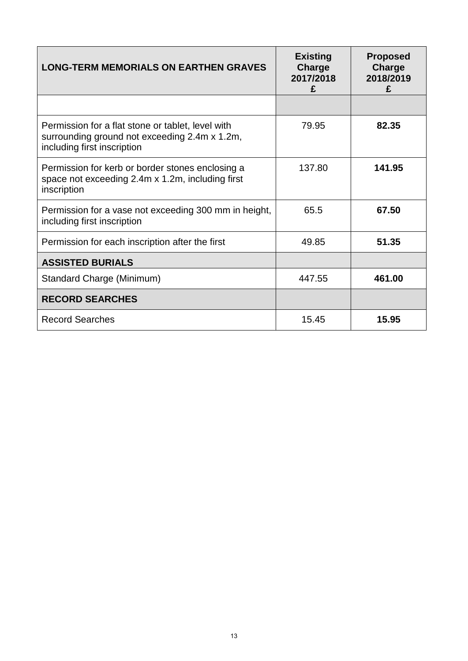| <b>LONG-TERM MEMORIALS ON EARTHEN GRAVES</b>                                                                                      | <b>Existing</b><br>Charge<br>2017/2018<br>£ | <b>Proposed</b><br>Charge<br>2018/2019<br>£ |
|-----------------------------------------------------------------------------------------------------------------------------------|---------------------------------------------|---------------------------------------------|
|                                                                                                                                   |                                             |                                             |
| Permission for a flat stone or tablet, level with<br>surrounding ground not exceeding 2.4m x 1.2m,<br>including first inscription | 79.95                                       | 82.35                                       |
| Permission for kerb or border stones enclosing a<br>space not exceeding 2.4m x 1.2m, including first<br>inscription               | 137.80                                      | 141.95                                      |
| Permission for a vase not exceeding 300 mm in height,<br>including first inscription                                              | 65.5                                        | 67.50                                       |
| Permission for each inscription after the first                                                                                   | 49.85                                       | 51.35                                       |
| <b>ASSISTED BURIALS</b>                                                                                                           |                                             |                                             |
| Standard Charge (Minimum)                                                                                                         | 447.55                                      | 461.00                                      |
| <b>RECORD SEARCHES</b>                                                                                                            |                                             |                                             |
| <b>Record Searches</b>                                                                                                            | 15.45                                       | 15.95                                       |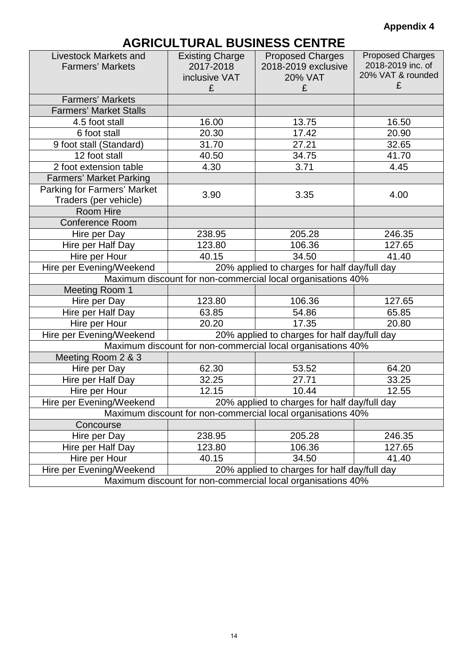### **Appendix 4**

# **AGRICULTURAL BUSINESS CENTRE**

| <b>Livestock Markets and</b><br><b>Farmers' Markets</b>                  | <b>Existing Charge</b><br>2017-2018<br>inclusive VAT | <b>Proposed Charges</b><br>2018-2019 exclusive<br><b>20% VAT</b> | <b>Proposed Charges</b><br>2018-2019 inc. of<br>20% VAT & rounded<br>£ |  |
|--------------------------------------------------------------------------|------------------------------------------------------|------------------------------------------------------------------|------------------------------------------------------------------------|--|
|                                                                          | £                                                    | £                                                                |                                                                        |  |
| <b>Farmers' Markets</b>                                                  |                                                      |                                                                  |                                                                        |  |
| <b>Farmers' Market Stalls</b>                                            |                                                      |                                                                  |                                                                        |  |
| 4.5 foot stall                                                           | 16.00                                                | 13.75                                                            | 16.50                                                                  |  |
| 6 foot stall                                                             | 20.30                                                | 17.42                                                            | 20.90                                                                  |  |
| 9 foot stall (Standard)                                                  | 31.70                                                | 27.21                                                            | 32.65                                                                  |  |
| 12 foot stall                                                            | 40.50                                                | 34.75                                                            | 41.70                                                                  |  |
| 2 foot extension table                                                   | 4.30                                                 | 3.71                                                             | 4.45                                                                   |  |
| <b>Farmers' Market Parking</b>                                           |                                                      |                                                                  |                                                                        |  |
| <b>Parking for Farmers' Market</b>                                       | 3.90                                                 | 3.35                                                             | 4.00                                                                   |  |
| Traders (per vehicle)                                                    |                                                      |                                                                  |                                                                        |  |
| Room Hire                                                                |                                                      |                                                                  |                                                                        |  |
| <b>Conference Room</b>                                                   |                                                      |                                                                  |                                                                        |  |
| Hire per Day                                                             | 238.95                                               | 205.28                                                           | 246.35                                                                 |  |
| Hire per Half Day                                                        | 123.80                                               | 106.36                                                           | 127.65                                                                 |  |
| Hire per Hour                                                            | 40.15                                                | 34.50                                                            | 41.40                                                                  |  |
| Hire per Evening/Weekend<br>20% applied to charges for half day/full day |                                                      |                                                                  |                                                                        |  |
| Maximum discount for non-commercial local organisations 40%              |                                                      |                                                                  |                                                                        |  |
| Meeting Room 1                                                           |                                                      |                                                                  |                                                                        |  |
| Hire per Day                                                             | 123.80                                               | 106.36                                                           | 127.65                                                                 |  |
| Hire per Half Day                                                        | 63.85                                                | 54.86                                                            | 65.85                                                                  |  |
| Hire per Hour                                                            | 20.20                                                | 17.35                                                            | 20.80                                                                  |  |
| Hire per Evening/Weekend                                                 |                                                      | 20% applied to charges for half day/full day                     |                                                                        |  |
|                                                                          |                                                      | Maximum discount for non-commercial local organisations 40%      |                                                                        |  |
| Meeting Room 2 & 3                                                       |                                                      |                                                                  |                                                                        |  |
| Hire per Day                                                             | 62.30                                                | 53.52                                                            | 64.20                                                                  |  |
| Hire per Half Day                                                        | 32.25                                                | 27.71                                                            | 33.25                                                                  |  |
| Hire per Hour                                                            | 12.15                                                | 10.44                                                            | 12.55                                                                  |  |
| Hire per Evening/Weekend                                                 |                                                      | 20% applied to charges for half day/full day                     |                                                                        |  |
| Maximum discount for non-commercial local organisations 40%              |                                                      |                                                                  |                                                                        |  |
| Concourse                                                                |                                                      |                                                                  |                                                                        |  |
| Hire per Day                                                             | 238.95                                               | 205.28                                                           | 246.35                                                                 |  |
| Hire per Half Day                                                        | 123.80                                               | 106.36                                                           | 127.65                                                                 |  |
| Hire per Hour                                                            | 40.15                                                | 34.50                                                            | 41.40                                                                  |  |
| Hire per Evening/Weekend<br>20% applied to charges for half day/full day |                                                      |                                                                  |                                                                        |  |
| Maximum discount for non-commercial local organisations 40%              |                                                      |                                                                  |                                                                        |  |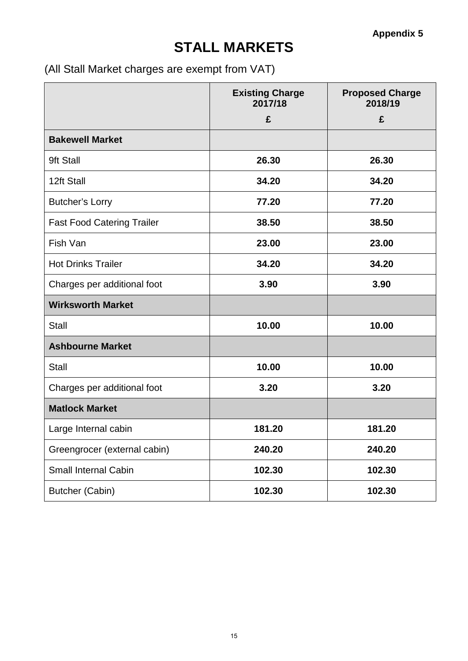# **STALL MARKETS**

(All Stall Market charges are exempt from VAT)

|                                   | <b>Existing Charge</b><br>2017/18<br>£ | <b>Proposed Charge</b><br>2018/19<br>£ |
|-----------------------------------|----------------------------------------|----------------------------------------|
| <b>Bakewell Market</b>            |                                        |                                        |
| 9ft Stall                         | 26.30                                  | 26.30                                  |
| 12ft Stall                        | 34.20                                  | 34.20                                  |
| <b>Butcher's Lorry</b>            | 77.20                                  | 77.20                                  |
| <b>Fast Food Catering Trailer</b> | 38.50                                  | 38.50                                  |
| Fish Van                          | 23.00                                  | 23.00                                  |
| <b>Hot Drinks Trailer</b>         | 34.20                                  | 34.20                                  |
| Charges per additional foot       | 3.90                                   | 3.90                                   |
| <b>Wirksworth Market</b>          |                                        |                                        |
| <b>Stall</b>                      | 10.00                                  | 10.00                                  |
| <b>Ashbourne Market</b>           |                                        |                                        |
| <b>Stall</b>                      | 10.00                                  | 10.00                                  |
| Charges per additional foot       | 3.20                                   | 3.20                                   |
| <b>Matlock Market</b>             |                                        |                                        |
| Large Internal cabin              | 181.20                                 | 181.20                                 |
| Greengrocer (external cabin)      | 240.20                                 | 240.20                                 |
| Small Internal Cabin              | 102.30                                 | 102.30                                 |
| <b>Butcher (Cabin)</b>            | 102.30                                 | 102.30                                 |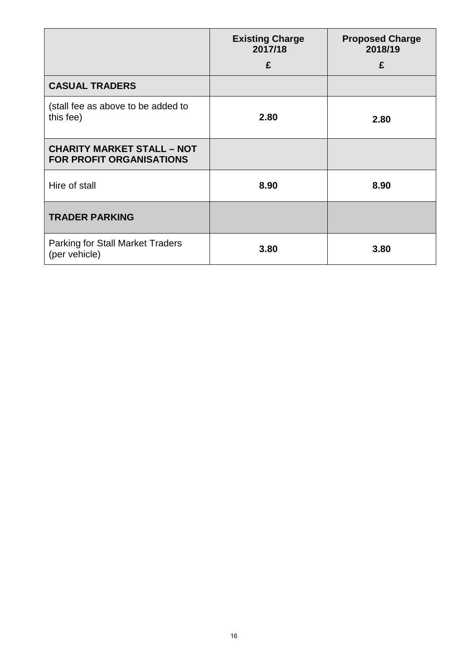|                                                                      | <b>Existing Charge</b><br>2017/18 | <b>Proposed Charge</b><br>2018/19 |
|----------------------------------------------------------------------|-----------------------------------|-----------------------------------|
|                                                                      | £                                 | £                                 |
| <b>CASUAL TRADERS</b>                                                |                                   |                                   |
| (stall fee as above to be added to<br>this fee)                      | 2.80                              | 2.80                              |
| <b>CHARITY MARKET STALL - NOT</b><br><b>FOR PROFIT ORGANISATIONS</b> |                                   |                                   |
| Hire of stall                                                        | 8.90                              | 8.90                              |
| <b>TRADER PARKING</b>                                                |                                   |                                   |
| <b>Parking for Stall Market Traders</b><br>(per vehicle)             | 3.80                              | 3.80                              |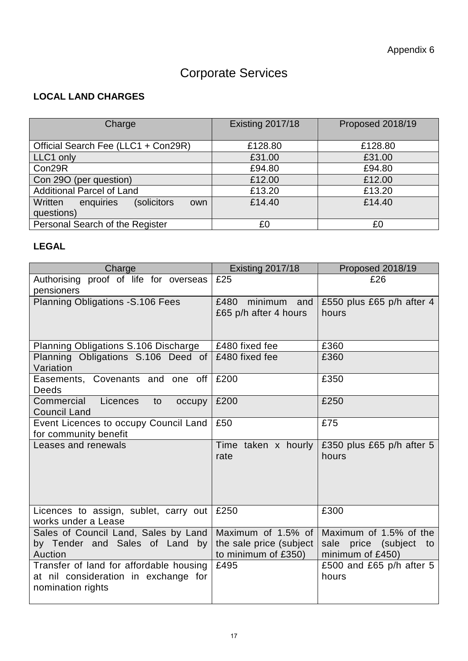# Corporate Services

### **LOCAL LAND CHARGES**

| Charge                                      | <b>Existing 2017/18</b> | Proposed 2018/19 |
|---------------------------------------------|-------------------------|------------------|
| Official Search Fee (LLC1 + Con29R)         | £128.80                 | £128.80          |
| LLC1 only                                   | £31.00                  | £31.00           |
| Con29R                                      | £94.80                  | £94.80           |
| Con 290 (per question)                      | £12.00                  | £12.00           |
| <b>Additional Parcel of Land</b>            | £13.20                  | £13.20           |
| enquiries<br>Written<br>(solicitors)<br>own | £14.40                  | £14.40           |
| questions)                                  |                         |                  |
| Personal Search of the Register             | £0                      | £0               |

### **LEGAL**

| Charge                                                                                               | <b>Existing 2017/18</b>                                              | Proposed 2018/19                                                           |
|------------------------------------------------------------------------------------------------------|----------------------------------------------------------------------|----------------------------------------------------------------------------|
| Authorising proof of life for overseas<br>pensioners                                                 | £25                                                                  | £26                                                                        |
| <b>Planning Obligations - S.106 Fees</b>                                                             | minimum and<br>£480<br>£65 p/h after 4 hours                         | £550 plus £65 p/h after 4<br>hours                                         |
| Planning Obligations S.106 Discharge                                                                 | £480 fixed fee                                                       | £360                                                                       |
| Planning Obligations S.106 Deed of<br>Variation                                                      | £480 fixed fee                                                       | £360                                                                       |
| Easements, Covenants and one off<br>Deeds                                                            | £200                                                                 | £350                                                                       |
| Commercial<br>Licences<br>to<br>occupy<br><b>Council Land</b>                                        | £200                                                                 | £250                                                                       |
| Event Licences to occupy Council Land<br>for community benefit                                       | £50                                                                  | £75                                                                        |
| Leases and renewals                                                                                  | Time taken x hourly<br>rate                                          | £350 plus £65 p/h after 5<br>hours                                         |
| Licences to assign, sublet, carry out<br>works under a Lease                                         | £250                                                                 | £300                                                                       |
| Sales of Council Land, Sales by Land<br>by Tender and Sales of Land by<br>Auction                    | Maximum of 1.5% of<br>the sale price (subject<br>to minimum of £350) | Maximum of 1.5% of the<br>price (subject<br>sale<br>to<br>minimum of £450) |
| Transfer of land for affordable housing<br>at nil consideration in exchange for<br>nomination rights | £495                                                                 | £500 and £65 p/h after 5<br>hours                                          |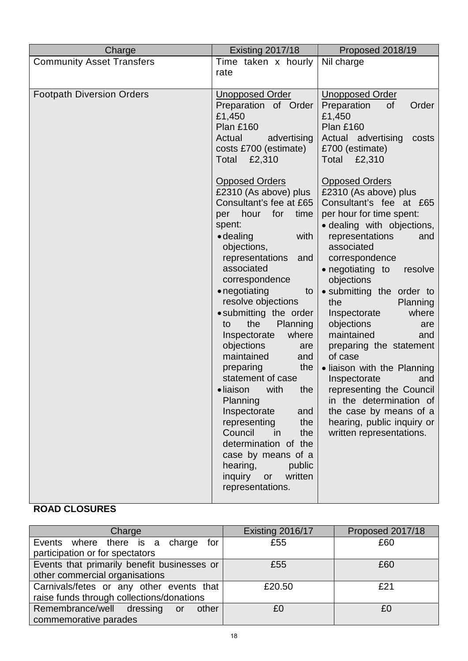| Charge                           | <b>Existing 2017/18</b>                                                                                                                                                                                                                                                                                                                                                                                                                                                                                                                                                                                                                                                      | Proposed 2018/19                                                                                                                                                                                                                                                                                                                                                                                                                                                                                                                                                                                     |
|----------------------------------|------------------------------------------------------------------------------------------------------------------------------------------------------------------------------------------------------------------------------------------------------------------------------------------------------------------------------------------------------------------------------------------------------------------------------------------------------------------------------------------------------------------------------------------------------------------------------------------------------------------------------------------------------------------------------|------------------------------------------------------------------------------------------------------------------------------------------------------------------------------------------------------------------------------------------------------------------------------------------------------------------------------------------------------------------------------------------------------------------------------------------------------------------------------------------------------------------------------------------------------------------------------------------------------|
| <b>Community Asset Transfers</b> | Time taken x hourly<br>rate                                                                                                                                                                                                                                                                                                                                                                                                                                                                                                                                                                                                                                                  | Nil charge                                                                                                                                                                                                                                                                                                                                                                                                                                                                                                                                                                                           |
| <b>Footpath Diversion Orders</b> | <b>Unopposed Order</b><br>Preparation of Order<br>£1,450<br><b>Plan £160</b><br>Actual<br>advertising<br>costs £700 (estimate)<br>Total<br>£2,310                                                                                                                                                                                                                                                                                                                                                                                                                                                                                                                            | <b>Unopposed Order</b><br>Preparation<br>Order<br>0f<br>£1,450<br>Plan £160<br>Actual advertising<br>costs<br>£700 (estimate)<br>Total £2,310                                                                                                                                                                                                                                                                                                                                                                                                                                                        |
|                                  | <b>Opposed Orders</b><br>£2310 (As above) plus<br>Consultant's fee at £65<br>for<br>hour<br>time<br>per<br>spent:<br>$\bullet$ dealing<br>with<br>objections,<br>representations<br>and<br>associated<br>correspondence<br>• negotiating<br>to<br>resolve objections<br>• submitting the order<br>the<br><b>Planning</b><br>to<br>where<br>Inspectorate<br>objections<br>are<br>maintained<br>and<br>the<br>preparing<br>statement of case<br>• liaison<br>the<br>with<br>Planning<br>Inspectorate<br>and<br>representing<br>the<br>Council<br>the<br>in<br>determination of the<br>case by means of a<br>hearing,<br>public<br>written<br>inquiry<br>or<br>representations. | <b>Opposed Orders</b><br>£2310 (As above) plus<br>Consultant's fee at £65<br>per hour for time spent:<br>• dealing with objections,<br>representations<br>and<br>associated<br>correspondence<br>• negotiating to<br>resolve<br>objections<br>• submitting the order to<br>the<br>Planning<br>where<br>Inspectorate<br>objections<br>are<br>maintained<br>and<br>preparing the statement<br>of case<br>• liaison with the Planning<br>Inspectorate<br>and<br>representing the Council<br>in the determination of<br>the case by means of a<br>hearing, public inquiry or<br>written representations. |

### **ROAD CLOSURES**

| Charge                                      | Existing 2016/17 | Proposed 2017/18 |
|---------------------------------------------|------------------|------------------|
| Events where there is a charge<br>for       | £55              | £60              |
| participation or for spectators             |                  |                  |
| Events that primarily benefit businesses or | £55              | £60              |
| other commercial organisations              |                  |                  |
| Carnivals/fetes or any other events that    | £20.50           | £21              |
| raise funds through collections/donations   |                  |                  |
| Remembrance/well dressing<br>other<br>or    | £0               | £0               |
| commemorative parades                       |                  |                  |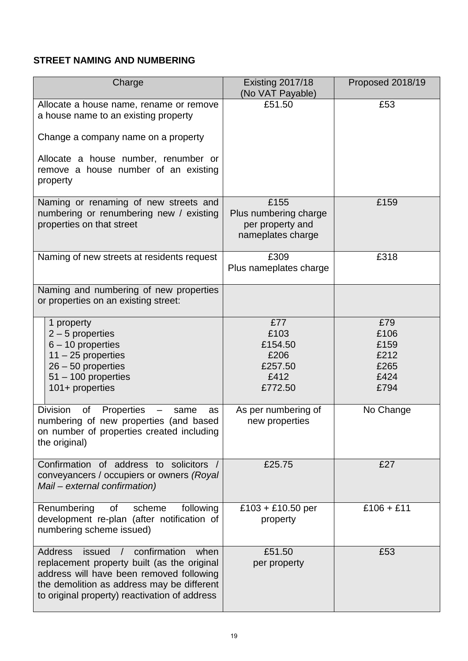### **STREET NAMING AND NUMBERING**

| Charge                                                                                                                                                                                                                                                       | <b>Existing 2017/18</b><br>(No VAT Payable)                            | Proposed 2018/19                                    |
|--------------------------------------------------------------------------------------------------------------------------------------------------------------------------------------------------------------------------------------------------------------|------------------------------------------------------------------------|-----------------------------------------------------|
| Allocate a house name, rename or remove<br>a house name to an existing property                                                                                                                                                                              | £51.50                                                                 | £53                                                 |
| Change a company name on a property                                                                                                                                                                                                                          |                                                                        |                                                     |
| Allocate a house number, renumber or<br>remove a house number of an existing<br>property                                                                                                                                                                     |                                                                        |                                                     |
| Naming or renaming of new streets and<br>numbering or renumbering new / existing<br>properties on that street                                                                                                                                                | £155<br>Plus numbering charge<br>per property and<br>nameplates charge | £159                                                |
| Naming of new streets at residents request                                                                                                                                                                                                                   | £309<br>Plus nameplates charge                                         | £318                                                |
| Naming and numbering of new properties<br>or properties on an existing street:                                                                                                                                                                               |                                                                        |                                                     |
| 1 property<br>$2 - 5$ properties<br>$6 - 10$ properties<br>$11 - 25$ properties<br>$26 - 50$ properties<br>$51 - 100$ properties<br>101+ properties                                                                                                          | £77<br>£103<br>£154.50<br>£206<br>£257.50<br>£412<br>£772.50           | £79<br>£106<br>£159<br>£212<br>£265<br>£424<br>£794 |
| <b>Division</b><br>Properties<br>0f<br>same<br>as<br>numbering of new properties (and based<br>on number of properties created including<br>the original)                                                                                                    | As per numbering of<br>new properties                                  | No Change                                           |
| Confirmation of address to solicitors /<br>conveyancers / occupiers or owners (Royal<br>Mail - external confirmation)                                                                                                                                        | £25.75                                                                 | £27                                                 |
| Renumbering<br>of<br>following<br>scheme<br>development re-plan (after notification of<br>numbering scheme issued)                                                                                                                                           | £103 + £10.50 per<br>property                                          | $£106 + £11$                                        |
| confirmation<br><b>Address</b><br>issued<br>when<br>$\overline{1}$<br>replacement property built (as the original<br>address will have been removed following<br>the demolition as address may be different<br>to original property) reactivation of address | £51.50<br>per property                                                 | £53                                                 |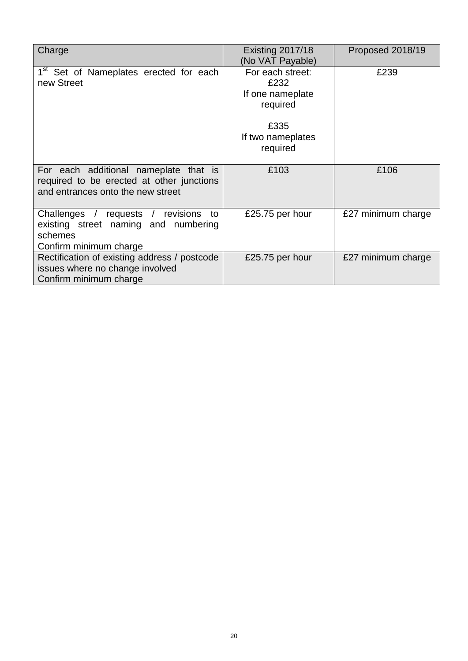| Charge                                                                                                                  | <b>Existing 2017/18</b><br>(No VAT Payable)                                                       | Proposed 2018/19   |
|-------------------------------------------------------------------------------------------------------------------------|---------------------------------------------------------------------------------------------------|--------------------|
| 1 <sup>st</sup> Set of Nameplates erected for each<br>new Street                                                        | For each street:<br>£232<br>If one nameplate<br>required<br>£335<br>If two nameplates<br>required | £239               |
| For each additional nameplate that is<br>required to be erected at other junctions<br>and entrances onto the new street | £103                                                                                              | £106               |
| Challenges / requests / revisions to<br>existing street naming and numbering<br>schemes<br>Confirm minimum charge       | £25.75 per hour                                                                                   | £27 minimum charge |
| Rectification of existing address / postcode<br>issues where no change involved<br>Confirm minimum charge               | £25.75 per hour                                                                                   | £27 minimum charge |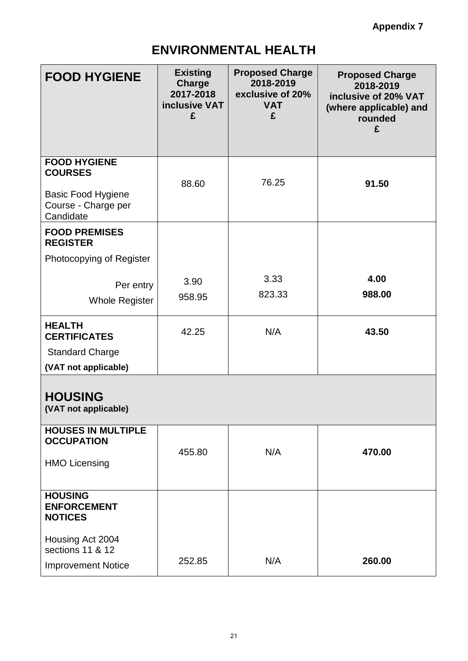# **ENVIRONMENTAL HEALTH**

| <b>FOOD HYGIENE</b>                                                                                    | <b>Existing</b><br>Charge<br>2017-2018<br>inclusive VAT<br>£ | <b>Proposed Charge</b><br>2018-2019<br>exclusive of 20%<br><b>VAT</b><br>£ | <b>Proposed Charge</b><br>2018-2019<br>inclusive of 20% VAT<br>(where applicable) and<br>rounded<br>£ |
|--------------------------------------------------------------------------------------------------------|--------------------------------------------------------------|----------------------------------------------------------------------------|-------------------------------------------------------------------------------------------------------|
| <b>FOOD HYGIENE</b><br><b>COURSES</b><br><b>Basic Food Hygiene</b><br>Course - Charge per<br>Candidate | 88.60                                                        | 76.25                                                                      | 91.50                                                                                                 |
| <b>FOOD PREMISES</b><br><b>REGISTER</b><br>Photocopying of Register                                    |                                                              |                                                                            |                                                                                                       |
| Per entry<br><b>Whole Register</b>                                                                     | 3.90<br>958.95                                               | 3.33<br>823.33                                                             | 4.00<br>988.00                                                                                        |
| <b>HEALTH</b><br><b>CERTIFICATES</b><br><b>Standard Charge</b><br>(VAT not applicable)                 | 42.25                                                        | N/A                                                                        | 43.50                                                                                                 |
| <b>HOUSING</b><br>(VAT not applicable)                                                                 |                                                              |                                                                            |                                                                                                       |
| <b>HOUSES IN MULTIPLE</b><br><b>OCCUPATION</b><br><b>HMO Licensing</b>                                 | 455.80                                                       | N/A                                                                        | 470.00                                                                                                |
| <b>HOUSING</b><br><b>ENFORCEMENT</b><br><b>NOTICES</b>                                                 |                                                              |                                                                            |                                                                                                       |
| Housing Act 2004<br>sections 11 & 12<br><b>Improvement Notice</b>                                      | 252.85                                                       | N/A                                                                        | 260.00                                                                                                |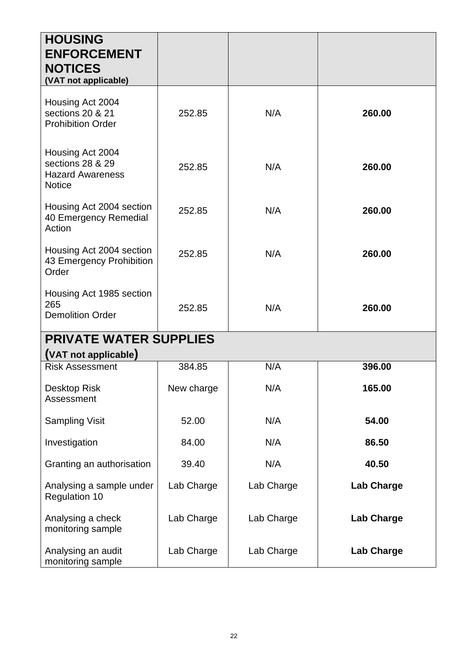| <b>HOUSING</b><br><b>ENFORCEMENT</b><br><b>NOTICES</b><br>(VAT not applicable)   |            |            |                   |
|----------------------------------------------------------------------------------|------------|------------|-------------------|
| Housing Act 2004<br>sections 20 & 21<br><b>Prohibition Order</b>                 | 252.85     | N/A        | 260.00            |
| Housing Act 2004<br>sections 28 & 29<br><b>Hazard Awareness</b><br><b>Notice</b> | 252.85     | N/A        | 260.00            |
| Housing Act 2004 section<br>40 Emergency Remedial<br>Action                      | 252.85     | N/A        | 260.00            |
| Housing Act 2004 section<br>43 Emergency Prohibition<br>Order                    | 252.85     | N/A        | 260.00            |
| Housing Act 1985 section<br>265<br><b>Demolition Order</b>                       | 252.85     | N/A        | 260.00            |
| <b>PRIVATE WATER SUPPLIES</b><br>(VAT not applicable)                            |            |            |                   |
| <b>Risk Assessment</b>                                                           | 384.85     | N/A        | 396.00            |
| Desktop Risk<br>Assessment                                                       | New charge | N/A        | 165.00            |
| <b>Sampling Visit</b>                                                            | 52.00      | N/A        | 54.00             |
| Investigation                                                                    | 84.00      | N/A        | 86.50             |
| Granting an authorisation                                                        | 39.40      | N/A        | 40.50             |
| Analysing a sample under<br><b>Regulation 10</b>                                 | Lab Charge | Lab Charge | <b>Lab Charge</b> |
| Analysing a check<br>monitoring sample                                           | Lab Charge | Lab Charge | <b>Lab Charge</b> |
| Analysing an audit<br>monitoring sample                                          | Lab Charge | Lab Charge | <b>Lab Charge</b> |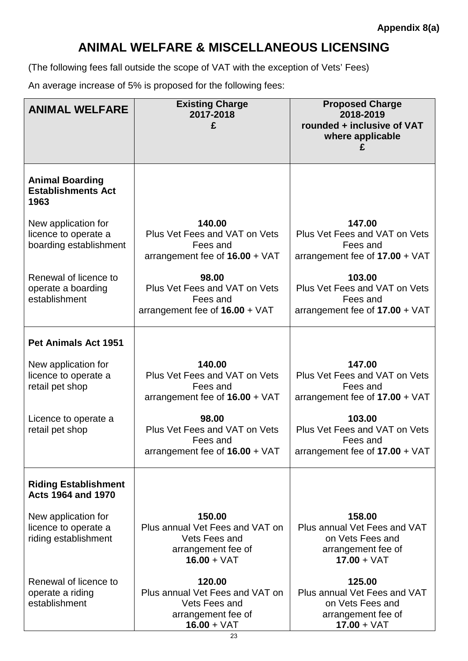### **ANIMAL WELFARE & MISCELLANEOUS LICENSING**

(The following fees fall outside the scope of VAT with the exception of Vets' Fees)

An average increase of 5% is proposed for the following fees:

| <b>ANIMAL WELFARE</b>                                                 | <b>Existing Charge</b><br>2017-2018<br>£                                                          | <b>Proposed Charge</b><br>2018-2019<br>rounded + inclusive of VAT<br>where applicable             |
|-----------------------------------------------------------------------|---------------------------------------------------------------------------------------------------|---------------------------------------------------------------------------------------------------|
| <b>Animal Boarding</b><br><b>Establishments Act</b><br>1963           |                                                                                                   |                                                                                                   |
| New application for<br>licence to operate a<br>boarding establishment | 140.00<br>Plus Vet Fees and VAT on Vets<br>Fees and<br>arrangement fee of 16.00 + VAT             | 147.00<br>Plus Vet Fees and VAT on Vets<br>Fees and<br>arrangement fee of $17.00 + \sqrt{AT}$     |
| Renewal of licence to<br>operate a boarding<br>establishment          | 98.00<br>Plus Vet Fees and VAT on Vets<br>Fees and<br>arrangement fee of $16.00 + \sqrt{AT}$      | 103.00<br>Plus Vet Fees and VAT on Vets<br>Fees and<br>arrangement fee of $17.00 + \text{VAT}$    |
| <b>Pet Animals Act 1951</b>                                           |                                                                                                   |                                                                                                   |
| New application for<br>licence to operate a<br>retail pet shop        | 140.00<br>Plus Vet Fees and VAT on Vets<br>Fees and<br>arrangement fee of $16.00 + \sqrt{AT}$     | 147.00<br>Plus Vet Fees and VAT on Vets<br>Fees and<br>arrangement fee of $17.00 + \text{VAT}$    |
| Licence to operate a<br>retail pet shop                               | 98.00<br>Plus Vet Fees and VAT on Vets<br>Fees and<br>arrangement fee of 16.00 + VAT              | 103.00<br>Plus Vet Fees and VAT on Vets<br>Fees and<br>arrangement fee of 17.00 + VAT             |
| <b>Riding Establishment</b><br><b>Acts 1964 and 1970</b>              |                                                                                                   |                                                                                                   |
| New application for<br>licence to operate a<br>riding establishment   | 150.00<br>Plus annual Vet Fees and VAT on<br>Vets Fees and<br>arrangement fee of<br>$16.00 + VAT$ | 158.00<br>Plus annual Vet Fees and VAT<br>on Vets Fees and<br>arrangement fee of<br>$17.00 + VAT$ |
| Renewal of licence to<br>operate a riding<br>establishment            | 120.00<br>Plus annual Vet Fees and VAT on<br>Vets Fees and<br>arrangement fee of<br>$16.00 + VAT$ | 125.00<br>Plus annual Vet Fees and VAT<br>on Vets Fees and<br>arrangement fee of<br>$17.00 + VAT$ |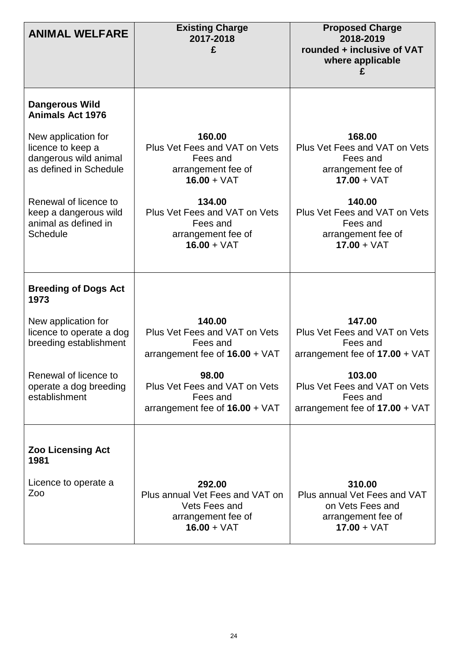| <b>ANIMAL WELFARE</b>                                                                       | <b>Existing Charge</b><br>2017-2018<br>£                                                          | <b>Proposed Charge</b><br>2018-2019<br>rounded + inclusive of VAT<br>where applicable             |
|---------------------------------------------------------------------------------------------|---------------------------------------------------------------------------------------------------|---------------------------------------------------------------------------------------------------|
| <b>Dangerous Wild</b><br><b>Animals Act 1976</b>                                            |                                                                                                   |                                                                                                   |
| New application for<br>licence to keep a<br>dangerous wild animal<br>as defined in Schedule | 160.00<br>Plus Vet Fees and VAT on Vets<br>Fees and<br>arrangement fee of<br>$16.00 + VAT$        | 168.00<br>Plus Vet Fees and VAT on Vets<br>Fees and<br>arrangement fee of<br>$17.00 + VAT$        |
| Renewal of licence to<br>keep a dangerous wild<br>animal as defined in<br><b>Schedule</b>   | 134.00<br>Plus Vet Fees and VAT on Vets<br>Fees and<br>arrangement fee of<br>$16.00 + VAT$        | 140.00<br>Plus Vet Fees and VAT on Vets<br>Fees and<br>arrangement fee of<br>$17.00 + VAT$        |
| <b>Breeding of Dogs Act</b><br>1973                                                         |                                                                                                   |                                                                                                   |
| New application for<br>licence to operate a dog<br>breeding establishment                   | 140.00<br>Plus Vet Fees and VAT on Vets<br>Fees and<br>arrangement fee of $16.00 + \text{VAT}$    | 147.00<br>Plus Vet Fees and VAT on Vets<br>Fees and<br>arrangement fee of $17.00 + \sqrt{AT}$     |
| Renewal of licence to<br>operate a dog breeding<br>establishment                            | 98.00<br>Plus Vet Fees and VAT on Vets<br>Fees and<br>arrangement fee of $16.00 + \sqrt{AT}$      | 103.00<br>Plus Vet Fees and VAT on Vets<br>Fees and<br>arrangement fee of $17.00 + \sqrt{AT}$     |
| <b>Zoo Licensing Act</b><br>1981                                                            |                                                                                                   |                                                                                                   |
| Licence to operate a<br>Zoo                                                                 | 292.00<br>Plus annual Vet Fees and VAT on<br>Vets Fees and<br>arrangement fee of<br>$16.00 + VAT$ | 310.00<br>Plus annual Vet Fees and VAT<br>on Vets Fees and<br>arrangement fee of<br>$17.00 + VAT$ |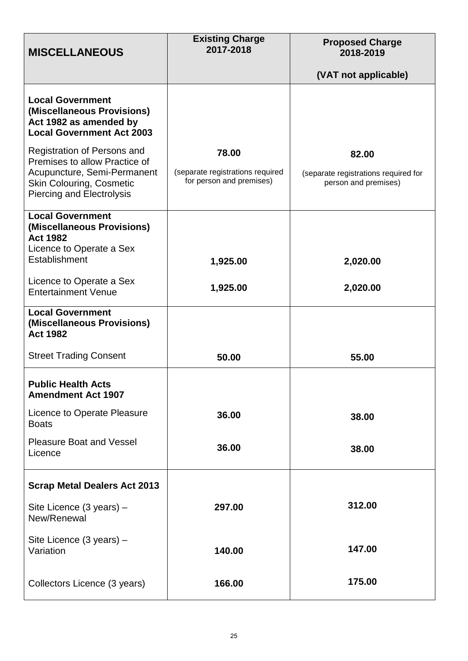| <b>MISCELLANEOUS</b>                                                                                                                                               | <b>Existing Charge</b><br>2017-2018                                   | <b>Proposed Charge</b><br>2018-2019                                   |
|--------------------------------------------------------------------------------------------------------------------------------------------------------------------|-----------------------------------------------------------------------|-----------------------------------------------------------------------|
|                                                                                                                                                                    |                                                                       | (VAT not applicable)                                                  |
| <b>Local Government</b><br>(Miscellaneous Provisions)<br>Act 1982 as amended by<br><b>Local Government Act 2003</b>                                                |                                                                       |                                                                       |
| Registration of Persons and<br>Premises to allow Practice of<br>Acupuncture, Semi-Permanent<br><b>Skin Colouring, Cosmetic</b><br><b>Piercing and Electrolysis</b> | 78.00<br>(separate registrations required<br>for person and premises) | 82.00<br>(separate registrations required for<br>person and premises) |
| <b>Local Government</b><br>(Miscellaneous Provisions)<br><b>Act 1982</b><br>Licence to Operate a Sex                                                               |                                                                       |                                                                       |
| Establishment                                                                                                                                                      | 1,925.00                                                              | 2,020.00                                                              |
| Licence to Operate a Sex<br><b>Entertainment Venue</b>                                                                                                             | 1,925.00                                                              | 2,020.00                                                              |
| <b>Local Government</b><br>(Miscellaneous Provisions)<br><b>Act 1982</b>                                                                                           |                                                                       |                                                                       |
| <b>Street Trading Consent</b>                                                                                                                                      | 50.00                                                                 | 55.00                                                                 |
| <b>Public Health Acts</b><br><b>Amendment Act 1907</b>                                                                                                             |                                                                       |                                                                       |
| Licence to Operate Pleasure<br><b>Boats</b>                                                                                                                        | 36.00                                                                 | 38.00                                                                 |
| <b>Pleasure Boat and Vessel</b><br>Licence                                                                                                                         | 36.00                                                                 | 38.00                                                                 |
| <b>Scrap Metal Dealers Act 2013</b>                                                                                                                                |                                                                       |                                                                       |
| Site Licence (3 years) -<br>New/Renewal                                                                                                                            | 297.00                                                                | 312.00                                                                |
| Site Licence (3 years) -<br>Variation                                                                                                                              | 140.00                                                                | 147.00                                                                |
| Collectors Licence (3 years)                                                                                                                                       | 166.00                                                                | 175.00                                                                |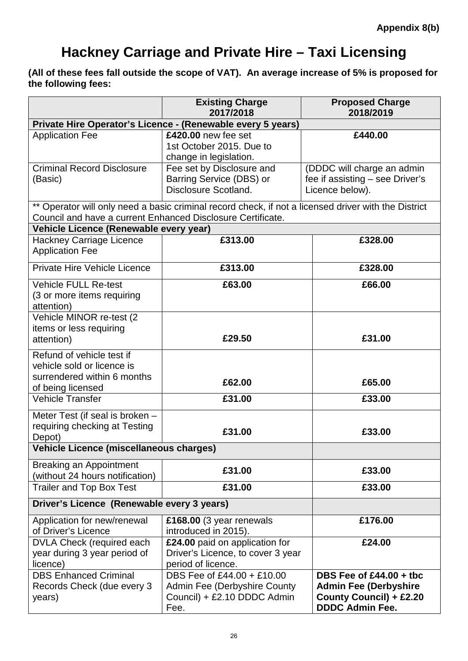# **Hackney Carriage and Private Hire – Taxi Licensing**

**(All of these fees fall outside the scope of VAT). An average increase of 5% is proposed for the following fees:**

|                                                                                                             | <b>Existing Charge</b><br>2017/2018                                                                  | <b>Proposed Charge</b><br>2018/2019                                                                            |
|-------------------------------------------------------------------------------------------------------------|------------------------------------------------------------------------------------------------------|----------------------------------------------------------------------------------------------------------------|
|                                                                                                             | Private Hire Operator's Licence - (Renewable every 5 years)                                          |                                                                                                                |
| <b>Application Fee</b>                                                                                      | £420.00 new fee set<br>1st October 2015. Due to<br>change in legislation.                            | £440.00                                                                                                        |
| <b>Criminal Record Disclosure</b><br>(Basic)                                                                | Fee set by Disclosure and<br>Barring Service (DBS) or<br>Disclosure Scotland.                        | (DDDC will charge an admin<br>fee if assisting – see Driver's<br>Licence below).                               |
| Council and have a current Enhanced Disclosure Certificate.                                                 | ** Operator will only need a basic criminal record check, if not a licensed driver with the District |                                                                                                                |
| Vehicle Licence (Renewable every year)                                                                      |                                                                                                      |                                                                                                                |
| <b>Hackney Carriage Licence</b><br><b>Application Fee</b>                                                   | £313.00                                                                                              | £328.00                                                                                                        |
| Private Hire Vehicle Licence                                                                                | £313.00                                                                                              | £328.00                                                                                                        |
| <b>Vehicle FULL Re-test</b><br>(3 or more items requiring<br>attention)                                     | £63.00                                                                                               | £66.00                                                                                                         |
| Vehicle MINOR re-test (2<br>items or less requiring<br>attention)                                           | £29.50                                                                                               | £31.00                                                                                                         |
| Refund of vehicle test if<br>vehicle sold or licence is<br>surrendered within 6 months<br>of being licensed | £62.00                                                                                               | £65.00                                                                                                         |
| <b>Vehicle Transfer</b>                                                                                     | £31.00                                                                                               | £33.00                                                                                                         |
| Meter Test (if seal is broken -<br>requiring checking at Testing<br>Depot)                                  | £31.00                                                                                               | £33.00                                                                                                         |
| Vehicle Licence (miscellaneous charges)                                                                     |                                                                                                      |                                                                                                                |
| <b>Breaking an Appointment</b><br>(without 24 hours notification)                                           | £31.00                                                                                               | £33.00                                                                                                         |
| <b>Trailer and Top Box Test</b>                                                                             | £31.00                                                                                               | £33.00                                                                                                         |
| Driver's Licence (Renewable every 3 years)                                                                  |                                                                                                      |                                                                                                                |
| Application for new/renewal<br>of Driver's Licence                                                          | £168.00 (3 year renewals<br>introduced in 2015).                                                     | £176.00                                                                                                        |
| <b>DVLA Check (required each</b><br>year during 3 year period of<br>licence)                                | £24.00 paid on application for<br>Driver's Licence, to cover 3 year<br>period of licence.            | £24.00                                                                                                         |
| <b>DBS Enhanced Criminal</b><br>Records Check (due every 3<br>years)                                        | DBS Fee of £44.00 + £10.00<br>Admin Fee (Derbyshire County<br>Council) + £2.10 DDDC Admin<br>Fee.    | DBS Fee of $£44.00 +$ tbc<br><b>Admin Fee (Derbyshire</b><br>County Council) + £2.20<br><b>DDDC Admin Fee.</b> |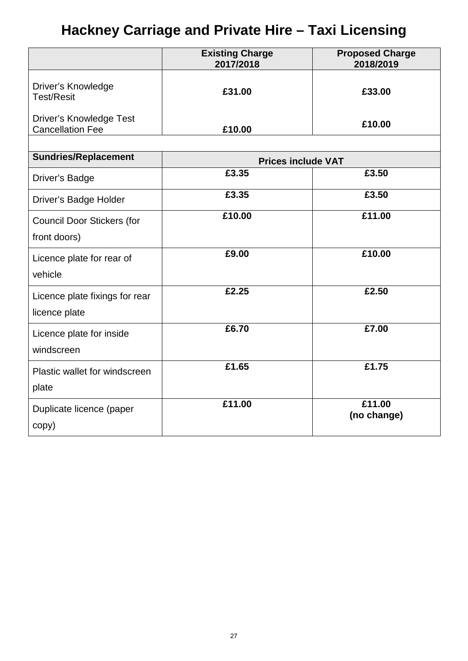# **Hackney Carriage and Private Hire – Taxi Licensing**

|                                                           | <b>Existing Charge</b><br>2017/2018 | <b>Proposed Charge</b><br>2018/2019 |
|-----------------------------------------------------------|-------------------------------------|-------------------------------------|
| Driver's Knowledge<br><b>Test/Resit</b>                   | £31.00                              | £33.00                              |
| <b>Driver's Knowledge Test</b><br><b>Cancellation Fee</b> | £10.00                              | £10.00                              |
|                                                           |                                     |                                     |
| <b>Sundries/Replacement</b>                               | <b>Prices include VAT</b>           |                                     |
| <b>Driver's Badge</b>                                     | £3.35                               | £3.50                               |
| Driver's Badge Holder                                     | £3.35                               | £3.50                               |
| <b>Council Door Stickers (for</b><br>front doors)         | £10.00                              | £11.00                              |
| Licence plate for rear of<br>vehicle                      | £9.00                               | £10.00                              |
| Licence plate fixings for rear<br>licence plate           | £2.25                               | £2.50                               |
| Licence plate for inside<br>windscreen                    | £6.70                               | £7.00                               |
| Plastic wallet for windscreen<br>plate                    | £1.65                               | £1.75                               |
| Duplicate licence (paper<br>copy)                         | £11.00                              | £11.00<br>(no change)               |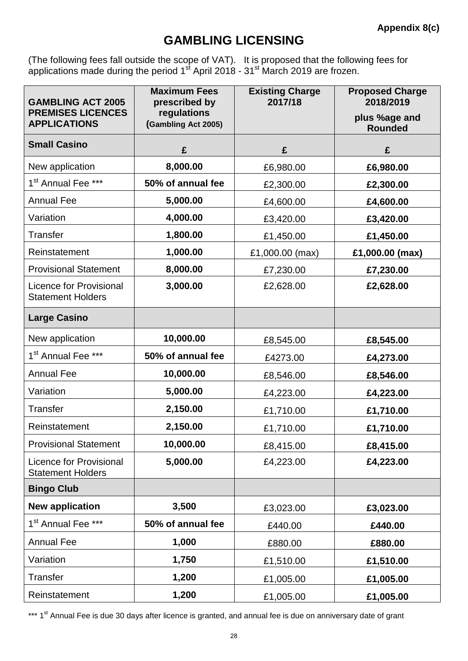### **GAMBLING LICENSING**

(The following fees fall outside the scope of VAT). It is proposed that the following fees for applications made during the period  $1<sup>st</sup>$  April 2018 - 31<sup>st</sup> March 2019 are frozen.

| <b>GAMBLING ACT 2005</b>                                   | <b>Maximum Fees</b><br>prescribed by | <b>Existing Charge</b><br>2017/18 | <b>Proposed Charge</b><br>2018/2019 |
|------------------------------------------------------------|--------------------------------------|-----------------------------------|-------------------------------------|
| <b>PREMISES LICENCES</b><br><b>APPLICATIONS</b>            | regulations<br>(Gambling Act 2005)   |                                   | plus %age and<br><b>Rounded</b>     |
| <b>Small Casino</b>                                        | £                                    | £                                 | £                                   |
| New application                                            | 8,000.00                             | £6,980.00                         | £6,980.00                           |
| 1 <sup>st</sup> Annual Fee ***                             | 50% of annual fee                    | £2,300.00                         | £2,300.00                           |
| <b>Annual Fee</b>                                          | 5,000.00                             | £4,600.00                         | £4,600.00                           |
| Variation                                                  | 4,000.00                             | £3,420.00                         | £3,420.00                           |
| <b>Transfer</b>                                            | 1,800.00                             | £1,450.00                         | £1,450.00                           |
| Reinstatement                                              | 1,000.00                             | £1,000.00 (max)                   | £1,000.00 (max)                     |
| <b>Provisional Statement</b>                               | 8,000.00                             | £7,230.00                         | £7,230.00                           |
| <b>Licence for Provisional</b><br><b>Statement Holders</b> | 3,000.00                             | £2,628.00                         | £2,628.00                           |
| <b>Large Casino</b>                                        |                                      |                                   |                                     |
| New application                                            | 10,000.00                            | £8,545.00                         | £8,545.00                           |
| 1 <sup>st</sup> Annual Fee ***                             | 50% of annual fee                    | £4273.00                          | £4,273.00                           |
| <b>Annual Fee</b>                                          | 10,000.00                            | £8,546.00                         | £8,546.00                           |
| Variation                                                  | 5,000.00                             | £4,223.00                         | £4,223.00                           |
| <b>Transfer</b>                                            | 2,150.00                             | £1,710.00                         | £1,710.00                           |
| Reinstatement                                              | 2,150.00                             | £1,710.00                         | £1,710.00                           |
| <b>Provisional Statement</b>                               | 10,000.00                            | £8,415.00                         | £8,415.00                           |
| <b>Licence for Provisional</b><br><b>Statement Holders</b> | 5,000.00                             | £4,223.00                         | £4,223.00                           |
| <b>Bingo Club</b>                                          |                                      |                                   |                                     |
| <b>New application</b>                                     | 3,500                                | £3,023.00                         | £3,023.00                           |
| 1 <sup>st</sup> Annual Fee ***                             | 50% of annual fee                    | £440.00                           | £440.00                             |
| <b>Annual Fee</b>                                          | 1,000                                | £880.00                           | £880.00                             |
| Variation                                                  | 1,750                                | £1,510.00                         | £1,510.00                           |
| Transfer                                                   | 1,200                                | £1,005.00                         | £1,005.00                           |
| Reinstatement                                              | 1,200                                | £1,005.00                         | £1,005.00                           |

\*\*\* 1<sup>st</sup> Annual Fee is due 30 days after licence is granted, and annual fee is due on anniversary date of grant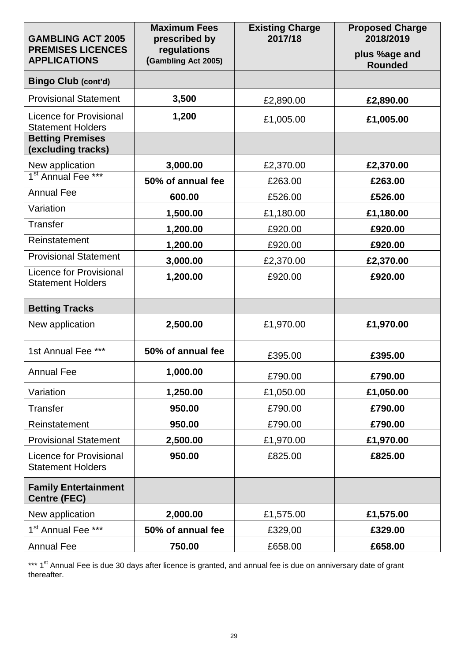| <b>GAMBLING ACT 2005</b>                                   | <b>Maximum Fees</b><br>prescribed by | <b>Existing Charge</b><br>2017/18 | <b>Proposed Charge</b><br>2018/2019 |
|------------------------------------------------------------|--------------------------------------|-----------------------------------|-------------------------------------|
| <b>PREMISES LICENCES</b><br><b>APPLICATIONS</b>            | regulations<br>(Gambling Act 2005)   |                                   | plus %age and<br><b>Rounded</b>     |
| <b>Bingo Club (cont'd)</b>                                 |                                      |                                   |                                     |
| <b>Provisional Statement</b>                               | 3,500                                | £2,890.00                         | £2,890.00                           |
| <b>Licence for Provisional</b><br><b>Statement Holders</b> | 1,200                                | £1,005.00                         | £1,005.00                           |
| <b>Betting Premises</b><br>(excluding tracks)              |                                      |                                   |                                     |
| New application<br>1 <sup>st</sup> Annual Fee ***          | 3,000.00                             | £2,370.00                         | £2,370.00                           |
|                                                            | 50% of annual fee                    | £263.00                           | £263.00                             |
| <b>Annual Fee</b>                                          | 600.00                               | £526.00                           | £526.00                             |
| Variation                                                  | 1,500.00                             | £1,180.00                         | £1,180.00                           |
| <b>Transfer</b>                                            | 1,200.00                             | £920.00                           | £920.00                             |
| Reinstatement                                              | 1,200.00                             | £920.00                           | £920.00                             |
| <b>Provisional Statement</b>                               | 3,000.00                             | £2,370.00                         | £2,370.00                           |
| <b>Licence for Provisional</b><br><b>Statement Holders</b> | 1,200.00                             | £920.00                           | £920.00                             |
| <b>Betting Tracks</b>                                      |                                      |                                   |                                     |
| New application                                            | 2,500.00                             | £1,970.00                         | £1,970.00                           |
| 1st Annual Fee ***                                         | 50% of annual fee                    | £395.00                           | £395.00                             |
| <b>Annual Fee</b>                                          | 1,000.00                             | £790.00                           | £790.00                             |
| Variation                                                  | 1,250.00                             | £1,050.00                         | £1,050.00                           |
| <b>Transfer</b>                                            | 950.00                               | £790.00                           | £790.00                             |
| Reinstatement                                              | 950.00                               | £790.00                           | £790.00                             |
| <b>Provisional Statement</b>                               | 2,500.00                             | £1,970.00                         | £1,970.00                           |
| <b>Licence for Provisional</b><br><b>Statement Holders</b> | 950.00                               | £825.00                           | £825.00                             |
| <b>Family Entertainment</b><br><b>Centre (FEC)</b>         |                                      |                                   |                                     |
| New application                                            | 2,000.00                             | £1,575.00                         | £1,575.00                           |
| 1 <sup>st</sup> Annual Fee ***                             | 50% of annual fee                    | £329,00                           | £329.00                             |
| <b>Annual Fee</b>                                          | 750.00                               | £658.00                           | £658.00                             |

\*\*\* 1<sup>st</sup> Annual Fee is due 30 days after licence is granted, and annual fee is due on anniversary date of grant thereafter.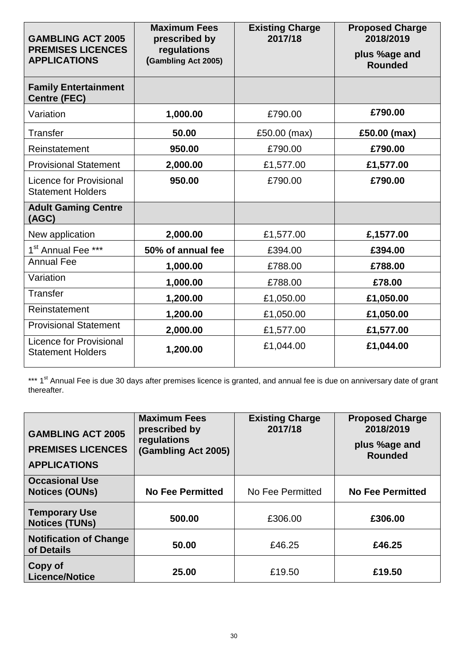| <b>GAMBLING ACT 2005</b><br><b>PREMISES LICENCES</b><br><b>APPLICATIONS</b> | <b>Maximum Fees</b><br>prescribed by<br>regulations<br>(Gambling Act 2005) | <b>Existing Charge</b><br>2017/18 | <b>Proposed Charge</b><br>2018/2019<br>plus %age and<br><b>Rounded</b> |
|-----------------------------------------------------------------------------|----------------------------------------------------------------------------|-----------------------------------|------------------------------------------------------------------------|
| <b>Family Entertainment</b><br><b>Centre (FEC)</b>                          |                                                                            |                                   |                                                                        |
| Variation                                                                   | 1,000.00                                                                   | £790.00                           | £790.00                                                                |
| <b>Transfer</b>                                                             | 50.00                                                                      | £50.00 (max)                      | £50.00 (max)                                                           |
| Reinstatement                                                               | 950.00                                                                     | £790.00                           | £790.00                                                                |
| <b>Provisional Statement</b>                                                | 2,000.00                                                                   | £1,577.00                         | £1,577.00                                                              |
| Licence for Provisional<br><b>Statement Holders</b>                         | 950.00                                                                     | £790.00                           | £790.00                                                                |
| <b>Adult Gaming Centre</b><br>(AGC)                                         |                                                                            |                                   |                                                                        |
| New application                                                             | 2,000.00                                                                   | £1,577.00                         | £,1577.00                                                              |
| 1 <sup>st</sup> Annual Fee ***                                              | 50% of annual fee                                                          | £394.00                           | £394.00                                                                |
| <b>Annual Fee</b>                                                           | 1,000.00                                                                   | £788.00                           | £788.00                                                                |
| Variation                                                                   | 1,000.00                                                                   | £788.00                           | £78.00                                                                 |
| <b>Transfer</b>                                                             | 1,200.00                                                                   | £1,050.00                         | £1,050.00                                                              |
| Reinstatement                                                               | 1,200.00                                                                   | £1,050.00                         | £1,050.00                                                              |
| <b>Provisional Statement</b>                                                | 2,000.00                                                                   | £1,577.00                         | £1,577.00                                                              |
| Licence for Provisional<br><b>Statement Holders</b>                         | 1,200.00                                                                   | £1,044.00                         | £1,044.00                                                              |

\*\*\* 1<sup>st</sup> Annual Fee is due 30 days after premises licence is granted, and annual fee is due on anniversary date of grant thereafter.

| <b>GAMBLING ACT 2005</b><br><b>PREMISES LICENCES</b><br><b>APPLICATIONS</b> | <b>Maximum Fees</b><br>prescribed by<br>regulations<br>(Gambling Act 2005) | <b>Existing Charge</b><br>2017/18 | <b>Proposed Charge</b><br>2018/2019<br>plus %age and<br><b>Rounded</b> |
|-----------------------------------------------------------------------------|----------------------------------------------------------------------------|-----------------------------------|------------------------------------------------------------------------|
| <b>Occasional Use</b><br><b>Notices (OUNs)</b>                              | <b>No Fee Permitted</b>                                                    | No Fee Permitted                  | <b>No Fee Permitted</b>                                                |
| <b>Temporary Use</b><br><b>Notices (TUNs)</b>                               | 500.00                                                                     | £306.00                           | £306.00                                                                |
| <b>Notification of Change</b><br>of Details                                 | 50.00                                                                      | £46.25                            | £46.25                                                                 |
| Copy of<br><b>Licence/Notice</b>                                            | 25.00                                                                      | £19.50                            | £19.50                                                                 |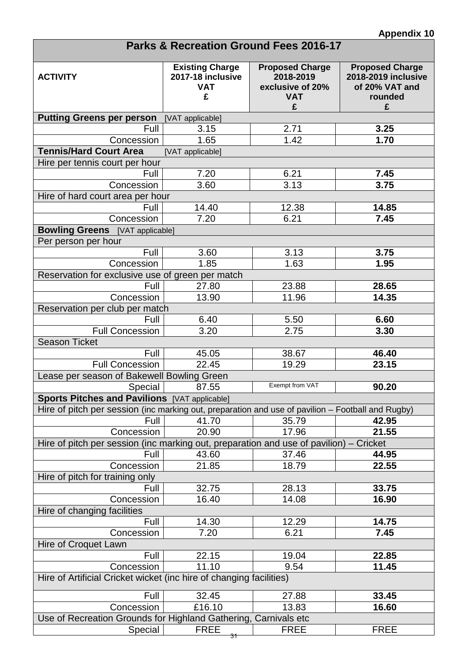| <b>Parks &amp; Recreation Ground Fees 2016-17</b>                                                 |                                                                |                                                                            |                                                                                        |  |
|---------------------------------------------------------------------------------------------------|----------------------------------------------------------------|----------------------------------------------------------------------------|----------------------------------------------------------------------------------------|--|
| <b>ACTIVITY</b>                                                                                   | <b>Existing Charge</b><br>2017-18 inclusive<br><b>VAT</b><br>£ | <b>Proposed Charge</b><br>2018-2019<br>exclusive of 20%<br><b>VAT</b><br>£ | <b>Proposed Charge</b><br><b>2018-2019 inclusive</b><br>of 20% VAT and<br>rounded<br>£ |  |
| <b>Putting Greens per person</b>                                                                  | [VAT applicable]                                               |                                                                            |                                                                                        |  |
| Full                                                                                              | 3.15                                                           | 2.71                                                                       | 3.25                                                                                   |  |
| Concession                                                                                        | 1.65                                                           | 1.42                                                                       | 1.70                                                                                   |  |
| <b>Tennis/Hard Court Area</b>                                                                     | [VAT applicable]                                               |                                                                            |                                                                                        |  |
| Hire per tennis court per hour                                                                    |                                                                |                                                                            |                                                                                        |  |
| Full                                                                                              | 7.20                                                           | 6.21                                                                       | 7.45                                                                                   |  |
| Concession                                                                                        | 3.60                                                           | 3.13                                                                       | 3.75                                                                                   |  |
| Hire of hard court area per hour                                                                  |                                                                |                                                                            |                                                                                        |  |
| Full                                                                                              | 14.40                                                          | 12.38                                                                      | 14.85                                                                                  |  |
| Concession                                                                                        | 7.20                                                           | 6.21                                                                       | 7.45                                                                                   |  |
| <b>Bowling Greens</b> [VAT applicable]                                                            |                                                                |                                                                            |                                                                                        |  |
| Per person per hour                                                                               |                                                                |                                                                            |                                                                                        |  |
| Full                                                                                              | 3.60                                                           | 3.13                                                                       | 3.75                                                                                   |  |
| Concession                                                                                        | 1.85                                                           | 1.63                                                                       | 1.95                                                                                   |  |
| Reservation for exclusive use of green per match                                                  |                                                                |                                                                            |                                                                                        |  |
| Full                                                                                              | 27.80                                                          | 23.88                                                                      | 28.65                                                                                  |  |
| Concession                                                                                        | 13.90                                                          | 11.96                                                                      | 14.35                                                                                  |  |
| Reservation per club per match                                                                    |                                                                |                                                                            |                                                                                        |  |
| Full                                                                                              | 6.40                                                           | 5.50                                                                       | 6.60                                                                                   |  |
| <b>Full Concession</b>                                                                            | 3.20                                                           | 2.75                                                                       | 3.30                                                                                   |  |
| <b>Season Ticket</b>                                                                              |                                                                |                                                                            |                                                                                        |  |
| Full                                                                                              | 45.05                                                          | 38.67                                                                      | 46.40                                                                                  |  |
| <b>Full Concession</b>                                                                            | 22.45                                                          | 19.29                                                                      | 23.15                                                                                  |  |
| Lease per season of Bakewell Bowling Green                                                        |                                                                |                                                                            |                                                                                        |  |
| Special                                                                                           | 87.55                                                          | Exempt from VAT                                                            | 90.20                                                                                  |  |
| Sports Pitches and Pavilions [VAT applicable]                                                     |                                                                |                                                                            |                                                                                        |  |
| Hire of pitch per session (inc marking out, preparation and use of pavilion – Football and Rugby) |                                                                |                                                                            |                                                                                        |  |
| Full                                                                                              | 41.70                                                          | 35.79                                                                      | 42.95                                                                                  |  |
| Concession                                                                                        | 20.90                                                          | 17.96                                                                      | 21.55                                                                                  |  |
| Hire of pitch per session (inc marking out, preparation and use of pavilion) – Cricket            |                                                                |                                                                            |                                                                                        |  |
| Full                                                                                              | 43.60                                                          | 37.46                                                                      | 44.95                                                                                  |  |
| Concession                                                                                        | 21.85                                                          | 18.79                                                                      | 22.55                                                                                  |  |
| Hire of pitch for training only                                                                   |                                                                |                                                                            |                                                                                        |  |
| Full                                                                                              | 32.75                                                          | 28.13                                                                      | 33.75                                                                                  |  |
| Concession                                                                                        | 16.40                                                          | 14.08                                                                      | 16.90                                                                                  |  |
| Hire of changing facilities                                                                       |                                                                |                                                                            |                                                                                        |  |
| Full                                                                                              | 14.30                                                          | 12.29                                                                      | 14.75                                                                                  |  |
| Concession                                                                                        | 7.20                                                           | 6.21                                                                       | 7.45                                                                                   |  |
| Hire of Croquet Lawn                                                                              |                                                                |                                                                            |                                                                                        |  |
| Full                                                                                              | 22.15                                                          | 19.04                                                                      | 22.85                                                                                  |  |
| Concession                                                                                        | 11.10                                                          | 9.54                                                                       | 11.45                                                                                  |  |
| Hire of Artificial Cricket wicket (inc hire of changing facilities)                               |                                                                |                                                                            |                                                                                        |  |
| Full                                                                                              | 32.45                                                          | 27.88                                                                      | 33.45                                                                                  |  |
| Concession                                                                                        | £16.10                                                         | 13.83                                                                      | 16.60                                                                                  |  |
| Use of Recreation Grounds for Highland Gathering, Carnivals etc                                   |                                                                |                                                                            |                                                                                        |  |
| Special                                                                                           | <b>FREE</b><br>31                                              | <b>FREE</b>                                                                | <b>FREE</b>                                                                            |  |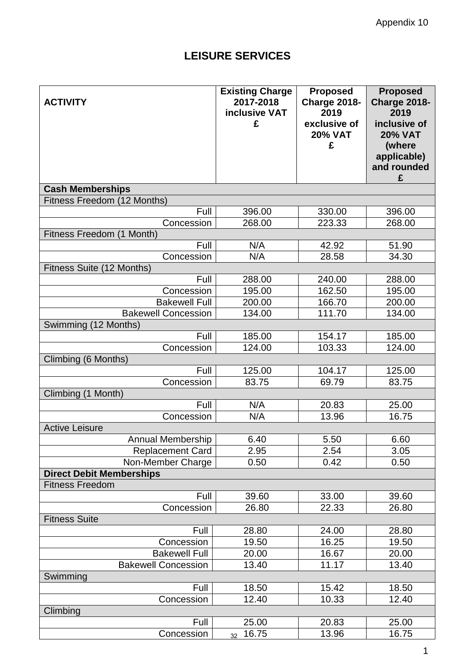### **LEISURE SERVICES**

| <b>ACTIVITY</b>                         | <b>Existing Charge</b><br>2017-2018<br>inclusive VAT<br>£ | <b>Proposed</b><br><b>Charge 2018-</b><br>2019<br>exclusive of<br><b>20% VAT</b><br>£ | <b>Proposed</b><br><b>Charge 2018-</b><br>2019<br>inclusive of<br><b>20% VAT</b> |
|-----------------------------------------|-----------------------------------------------------------|---------------------------------------------------------------------------------------|----------------------------------------------------------------------------------|
|                                         |                                                           |                                                                                       | (where<br>applicable)<br>and rounded<br>£                                        |
| <b>Cash Memberships</b>                 |                                                           |                                                                                       |                                                                                  |
| Fitness Freedom (12 Months)             |                                                           |                                                                                       |                                                                                  |
| Full                                    | 396.00                                                    | 330.00                                                                                | 396.00                                                                           |
| Concession                              | 268.00                                                    | 223.33                                                                                | 268.00                                                                           |
| Fitness Freedom (1 Month)               |                                                           |                                                                                       |                                                                                  |
| Full                                    | N/A                                                       | 42.92                                                                                 | 51.90                                                                            |
| Concession<br>Fitness Suite (12 Months) | N/A                                                       | 28.58                                                                                 | 34.30                                                                            |
| Full                                    | 288.00                                                    | 240.00                                                                                | 288.00                                                                           |
| Concession                              | 195.00                                                    | 162.50                                                                                | 195.00                                                                           |
| <b>Bakewell Full</b>                    | 200.00                                                    | 166.70                                                                                | 200.00                                                                           |
| <b>Bakewell Concession</b>              | 134.00                                                    | 111.70                                                                                | 134.00                                                                           |
| Swimming (12 Months)                    |                                                           |                                                                                       |                                                                                  |
| Full                                    | 185.00                                                    | 154.17                                                                                | 185.00                                                                           |
| Concession                              | 124.00                                                    | 103.33                                                                                | 124.00                                                                           |
| Climbing (6 Months)                     |                                                           |                                                                                       |                                                                                  |
| Full                                    | 125.00                                                    | 104.17                                                                                | 125.00                                                                           |
| Concession                              | 83.75                                                     | 69.79                                                                                 | 83.75                                                                            |
| Climbing (1 Month)                      |                                                           |                                                                                       |                                                                                  |
| Full                                    | N/A                                                       | 20.83                                                                                 | 25.00                                                                            |
| Concession                              | N/A                                                       | 13.96                                                                                 | 16.75                                                                            |
| <b>Active Leisure</b>                   |                                                           |                                                                                       |                                                                                  |
| Annual Membership                       | 6.40                                                      | 5.50                                                                                  | 6.60                                                                             |
| <b>Replacement Card</b>                 | 2.95                                                      | 2.54                                                                                  | 3.05                                                                             |
| Non-Member Charge                       | 0.50                                                      | 0.42                                                                                  | 0.50                                                                             |
| <b>Direct Debit Memberships</b>         |                                                           |                                                                                       |                                                                                  |
| <b>Fitness Freedom</b>                  |                                                           |                                                                                       |                                                                                  |
| Full                                    | 39.60                                                     | 33.00                                                                                 | 39.60                                                                            |
| Concession                              | 26.80                                                     | 22.33                                                                                 | 26.80                                                                            |
| <b>Fitness Suite</b>                    |                                                           |                                                                                       |                                                                                  |
| Full                                    | 28.80<br>19.50                                            | 24.00<br>16.25                                                                        | 28.80<br>19.50                                                                   |
| Concession<br><b>Bakewell Full</b>      |                                                           |                                                                                       | 20.00                                                                            |
| <b>Bakewell Concession</b>              | 20.00<br>13.40                                            | 16.67<br>11.17                                                                        | 13.40                                                                            |
| Swimming                                |                                                           |                                                                                       |                                                                                  |
| Full                                    | 18.50                                                     | 15.42                                                                                 | 18.50                                                                            |
| Concession                              | 12.40                                                     | 10.33                                                                                 | 12.40                                                                            |
| Climbing                                |                                                           |                                                                                       |                                                                                  |
| Full                                    | 25.00                                                     | 20.83                                                                                 | 25.00                                                                            |
| Concession                              | 16.75<br>32 <sup>°</sup>                                  | 13.96                                                                                 | 16.75                                                                            |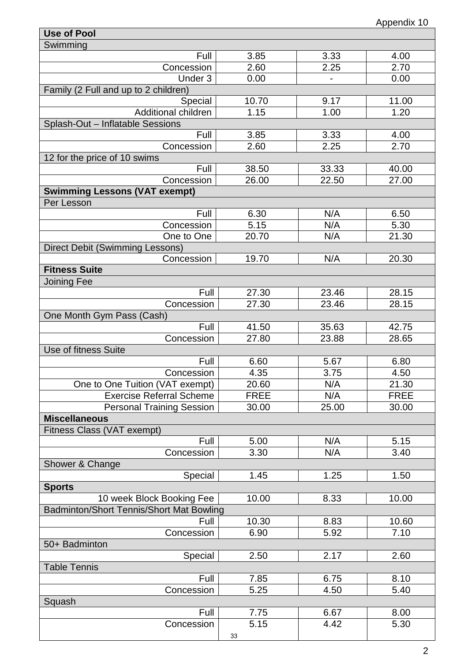| Use of Pool                              |             |       |             |
|------------------------------------------|-------------|-------|-------------|
| Swimming                                 |             |       |             |
| Full                                     | 3.85        | 3.33  | 4.00        |
| Concession                               | 2.60        | 2.25  | 2.70        |
| Under 3                                  | 0.00        |       | 0.00        |
| Family (2 Full and up to 2 children)     |             |       |             |
| Special                                  | 10.70       | 9.17  | 11.00       |
| Additional children                      | 1.15        | 1.00  | 1.20        |
| Splash-Out - Inflatable Sessions         |             |       |             |
| Full                                     | 3.85        | 3.33  | 4.00        |
| Concession                               | 2.60        | 2.25  | 2.70        |
| 12 for the price of 10 swims             |             |       |             |
| Full                                     | 38.50       | 33.33 | 40.00       |
| Concession                               | 26.00       | 22.50 | 27.00       |
| <b>Swimming Lessons (VAT exempt)</b>     |             |       |             |
| Per Lesson                               |             |       |             |
| Full                                     | 6.30        | N/A   | 6.50        |
| Concession                               | 5.15        | N/A   | 5.30        |
| One to One                               | 20.70       | N/A   | 21.30       |
| <b>Direct Debit (Swimming Lessons)</b>   |             |       |             |
| Concession                               |             | N/A   | 20.30       |
| <b>Fitness Suite</b>                     | 19.70       |       |             |
|                                          |             |       |             |
| <b>Joining Fee</b>                       |             |       |             |
| Full                                     | 27.30       | 23.46 | 28.15       |
| Concession                               | 27.30       | 23.46 | 28.15       |
| One Month Gym Pass (Cash)                |             |       |             |
| Full                                     | 41.50       | 35.63 | 42.75       |
| Concession                               | 27.80       | 23.88 | 28.65       |
| Use of fitness Suite                     |             |       |             |
| Full                                     | 6.60        | 5.67  | 6.80        |
| Concession                               | 4.35        | 3.75  | 4.50        |
| One to One Tuition (VAT exempt)          | 20.60       | N/A   | 21.30       |
| <b>Exercise Referral Scheme</b>          | <b>FREE</b> | N/A   | <b>FREE</b> |
| <b>Personal Training Session</b>         | 30.00       | 25.00 | 30.00       |
| <b>Miscellaneous</b>                     |             |       |             |
| Fitness Class (VAT exempt)               |             |       |             |
| Full                                     | 5.00        | N/A   | 5.15        |
| Concession                               | 3.30        | N/A   | 3.40        |
| Shower & Change                          |             |       |             |
| Special                                  | 1.45        | 1.25  | 1.50        |
| <b>Sports</b>                            |             |       |             |
| 10 week Block Booking Fee                | 10.00       | 8.33  | 10.00       |
| Badminton/Short Tennis/Short Mat Bowling |             |       |             |
| Full                                     |             |       |             |
|                                          | 10.30       | 8.83  | 10.60       |
| Concession                               | 6.90        | 5.92  | 7.10        |
| 50+ Badminton                            |             |       |             |
| Special                                  | 2.50        | 2.17  | 2.60        |
| <b>Table Tennis</b>                      |             |       |             |
| Full                                     | 7.85        | 6.75  | 8.10        |
| Concession                               | 5.25        | 4.50  | 5.40        |
| Squash                                   |             |       |             |
| Full                                     | 7.75        | 6.67  | 8.00        |
| Concession                               | 5.15        | 4.42  | 5.30        |
|                                          | 33          |       |             |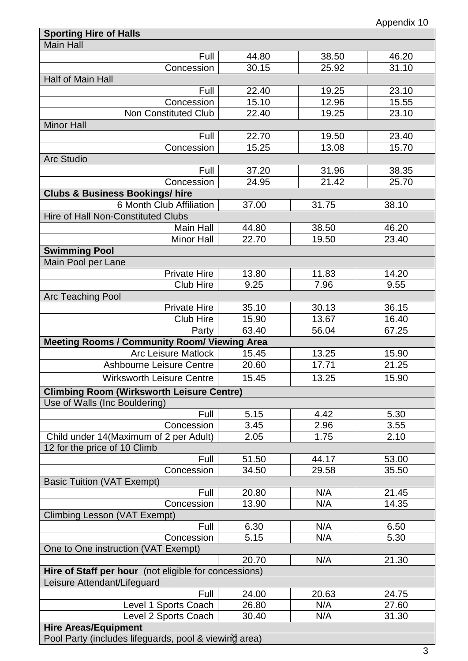| <b>Sporting Hire of Halls</b>                         |       |       |       |  |  |  |
|-------------------------------------------------------|-------|-------|-------|--|--|--|
| <b>Main Hall</b>                                      |       |       |       |  |  |  |
| Full                                                  | 44.80 | 38.50 | 46.20 |  |  |  |
| Concession                                            | 30.15 | 25.92 | 31.10 |  |  |  |
| Half of Main Hall                                     |       |       |       |  |  |  |
| Full                                                  | 22.40 | 19.25 | 23.10 |  |  |  |
| Concession                                            | 15.10 | 12.96 | 15.55 |  |  |  |
| <b>Non Constituted Club</b>                           | 22.40 | 19.25 | 23.10 |  |  |  |
| <b>Minor Hall</b>                                     |       |       |       |  |  |  |
| Full                                                  | 22.70 | 19.50 | 23.40 |  |  |  |
| Concession                                            | 15.25 | 13.08 | 15.70 |  |  |  |
| <b>Arc Studio</b>                                     |       |       |       |  |  |  |
| Full                                                  | 37.20 | 31.96 | 38.35 |  |  |  |
| Concession                                            | 24.95 | 21.42 | 25.70 |  |  |  |
| <b>Clubs &amp; Business Bookings/ hire</b>            |       |       |       |  |  |  |
| 6 Month Club Affiliation                              | 37.00 | 31.75 | 38.10 |  |  |  |
| Hire of Hall Non-Constituted Clubs                    |       |       |       |  |  |  |
| Main Hall                                             | 44.80 | 38.50 | 46.20 |  |  |  |
| <b>Minor Hall</b>                                     | 22.70 | 19.50 | 23.40 |  |  |  |
| <b>Swimming Pool</b>                                  |       |       |       |  |  |  |
| Main Pool per Lane                                    |       |       |       |  |  |  |
| <b>Private Hire</b>                                   | 13.80 | 11.83 | 14.20 |  |  |  |
| <b>Club Hire</b>                                      | 9.25  | 7.96  | 9.55  |  |  |  |
| <b>Arc Teaching Pool</b>                              |       |       |       |  |  |  |
| <b>Private Hire</b>                                   | 35.10 | 30.13 | 36.15 |  |  |  |
| <b>Club Hire</b>                                      | 15.90 | 13.67 | 16.40 |  |  |  |
| Party                                                 | 63.40 | 56.04 | 67.25 |  |  |  |
| <b>Meeting Rooms / Community Room/ Viewing Area</b>   |       |       |       |  |  |  |
| <b>Arc Leisure Matlock</b>                            | 15.45 | 13.25 | 15.90 |  |  |  |
| <b>Ashbourne Leisure Centre</b>                       | 20.60 | 17.71 | 21.25 |  |  |  |
| <b>Wirksworth Leisure Centre</b>                      | 15.45 | 13.25 | 15.90 |  |  |  |
| <b>Climbing Room (Wirksworth Leisure Centre)</b>      |       |       |       |  |  |  |
| Use of Walls (Inc Bouldering)                         |       |       |       |  |  |  |
| Full                                                  | 5.15  | 4.42  | 5.30  |  |  |  |
| Concession                                            | 3.45  | 2.96  | 3.55  |  |  |  |
| Child under 14(Maximum of 2 per Adult)                | 2.05  | 1.75  | 2.10  |  |  |  |
| 12 for the price of 10 Climb                          |       |       |       |  |  |  |
| Full                                                  | 51.50 | 44.17 | 53.00 |  |  |  |
| Concession                                            | 34.50 | 29.58 | 35.50 |  |  |  |
| <b>Basic Tuition (VAT Exempt)</b>                     |       |       |       |  |  |  |
| Full                                                  | 20.80 | N/A   | 21.45 |  |  |  |
| Concession                                            | 13.90 | N/A   | 14.35 |  |  |  |
| Climbing Lesson (VAT Exempt)                          |       |       |       |  |  |  |
| Full                                                  | 6.30  | N/A   | 6.50  |  |  |  |
| Concession                                            | 5.15  | N/A   | 5.30  |  |  |  |
| One to One instruction (VAT Exempt)                   |       |       |       |  |  |  |
|                                                       | 20.70 | N/A   | 21.30 |  |  |  |
| Hire of Staff per hour (not eligible for concessions) |       |       |       |  |  |  |
| Leisure Attendant/Lifeguard                           |       |       |       |  |  |  |
| Full                                                  | 24.00 | 20.63 | 24.75 |  |  |  |
| Level 1 Sports Coach                                  | 26.80 | N/A   | 27.60 |  |  |  |
| Level 2 Sports Coach                                  | 30.40 | N/A   | 31.30 |  |  |  |
| <b>Hire Areas/Equipment</b>                           |       |       |       |  |  |  |
| Pool Party (includes lifeguards, pool & viewing area) |       |       |       |  |  |  |
|                                                       |       |       |       |  |  |  |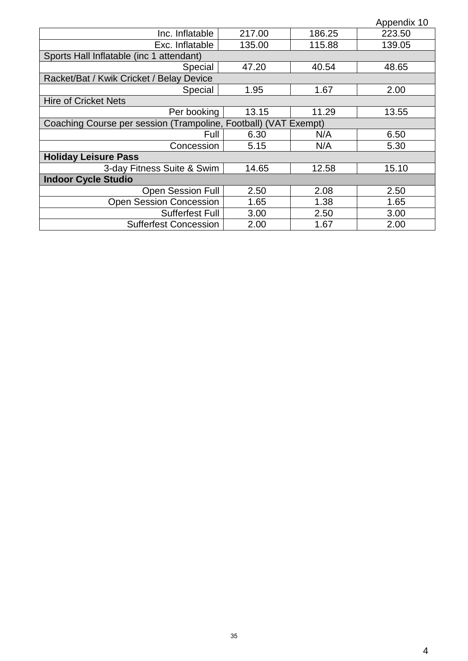|                                                                 |        |        | Appendix 10 |  |  |
|-----------------------------------------------------------------|--------|--------|-------------|--|--|
| Inc. Inflatable                                                 | 217.00 | 186.25 | 223.50      |  |  |
| Exc. Inflatable                                                 | 135.00 | 115.88 | 139.05      |  |  |
| Sports Hall Inflatable (inc 1 attendant)                        |        |        |             |  |  |
| Special                                                         | 47.20  | 40.54  | 48.65       |  |  |
| Racket/Bat / Kwik Cricket / Belay Device                        |        |        |             |  |  |
| Special                                                         | 1.95   | 1.67   | 2.00        |  |  |
| <b>Hire of Cricket Nets</b>                                     |        |        |             |  |  |
| Per booking                                                     | 13.15  | 11.29  | 13.55       |  |  |
| Coaching Course per session (Trampoline, Football) (VAT Exempt) |        |        |             |  |  |
| Full                                                            | 6.30   | N/A    | 6.50        |  |  |
| Concession                                                      | 5.15   | N/A    | 5.30        |  |  |
| <b>Holiday Leisure Pass</b>                                     |        |        |             |  |  |
| 3-day Fitness Suite & Swim                                      | 14.65  | 12.58  | 15.10       |  |  |
| <b>Indoor Cycle Studio</b>                                      |        |        |             |  |  |
| <b>Open Session Full</b>                                        | 2.50   | 2.08   | 2.50        |  |  |
| <b>Open Session Concession</b>                                  | 1.65   | 1.38   | 1.65        |  |  |
| <b>Sufferfest Full</b>                                          | 3.00   | 2.50   | 3.00        |  |  |
| <b>Sufferfest Concession</b>                                    | 2.00   | 1.67   | 2.00        |  |  |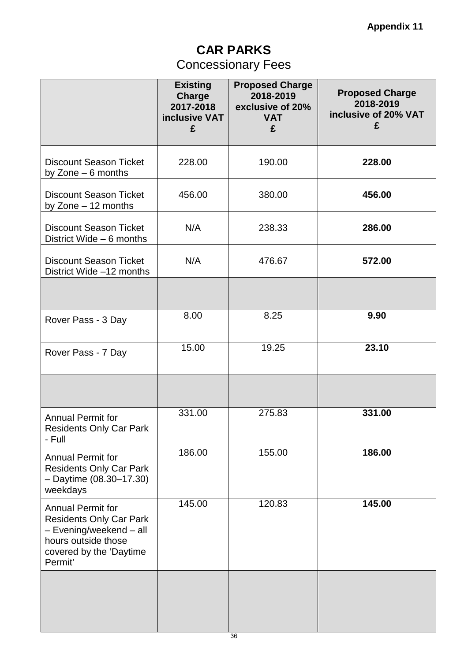### **CAR PARKS** Concessionary Fees

|                                                                                                                                             | <b>Existing</b><br>Charge<br>2017-2018<br>inclusive VAT<br>£ | <b>Proposed Charge</b><br>2018-2019<br>exclusive of 20%<br><b>VAT</b><br>£ | <b>Proposed Charge</b><br>2018-2019<br>inclusive of 20% VAT<br>£ |
|---------------------------------------------------------------------------------------------------------------------------------------------|--------------------------------------------------------------|----------------------------------------------------------------------------|------------------------------------------------------------------|
| <b>Discount Season Ticket</b><br>by Zone $-6$ months                                                                                        | 228.00                                                       | 190.00                                                                     | 228.00                                                           |
| <b>Discount Season Ticket</b><br>by Zone - 12 months                                                                                        | 456.00                                                       | 380.00                                                                     | 456.00                                                           |
| <b>Discount Season Ticket</b><br>District Wide $-6$ months                                                                                  | N/A                                                          | 238.33                                                                     | 286.00                                                           |
| <b>Discount Season Ticket</b><br>District Wide -12 months                                                                                   | N/A                                                          | 476.67                                                                     | 572.00                                                           |
|                                                                                                                                             |                                                              |                                                                            |                                                                  |
| Rover Pass - 3 Day                                                                                                                          | 8.00                                                         | 8.25                                                                       | 9.90                                                             |
| Rover Pass - 7 Day                                                                                                                          | 15.00                                                        | 19.25                                                                      | 23.10                                                            |
|                                                                                                                                             |                                                              |                                                                            |                                                                  |
| <b>Annual Permit for</b><br><b>Residents Only Car Park</b><br>- Full                                                                        | 331.00                                                       | 275.83                                                                     | 331.00                                                           |
| <b>Annual Permit for</b><br><b>Residents Only Car Park</b><br>$-$ Daytime (08.30-17.30)<br>weekdays                                         | 186.00                                                       | 155.00                                                                     | 186.00                                                           |
| Annual Permit for<br><b>Residents Only Car Park</b><br>- Evening/weekend - all<br>hours outside those<br>covered by the 'Daytime<br>Permit' | 145.00                                                       | 120.83                                                                     | 145.00                                                           |
|                                                                                                                                             |                                                              |                                                                            |                                                                  |